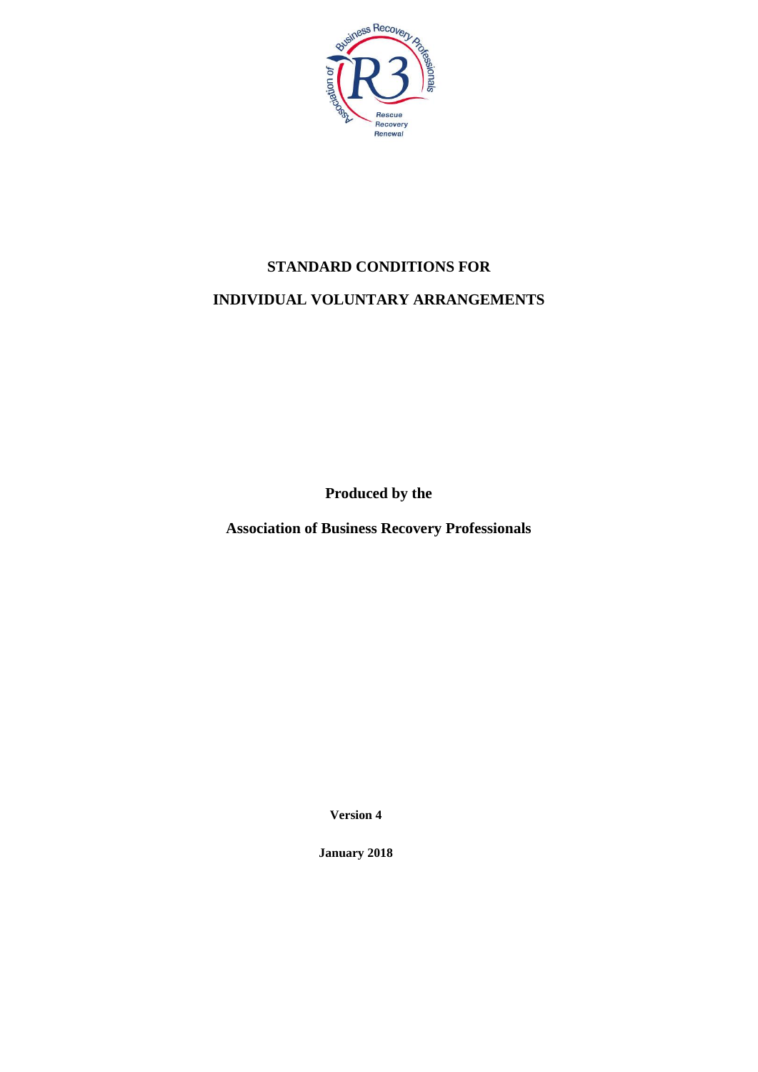

# **STANDARD CONDITIONS FOR INDIVIDUAL VOLUNTARY ARRANGEMENTS**

**Produced by the**

**Association of Business Recovery Professionals**

**Version 4**

**January 2018**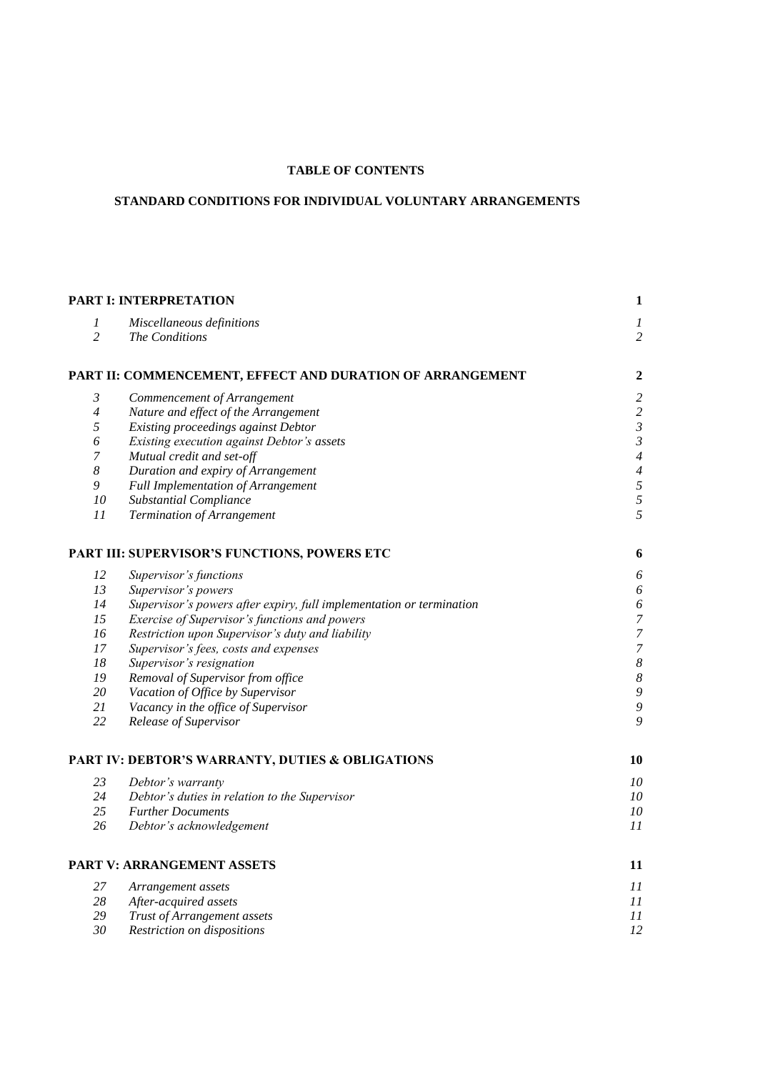#### **TABLE OF CONTENTS**

# **STANDARD CONDITIONS FOR INDIVIDUAL VOLUNTARY ARRANGEMENTS**

|                       | <b>PART I: INTERPRETATION</b>                                        | $\mathbf{1}$              |
|-----------------------|----------------------------------------------------------------------|---------------------------|
| 1                     | Miscellaneous definitions                                            | $\boldsymbol{l}$          |
| $\overline{2}$        | The Conditions                                                       | $\overline{2}$            |
|                       | PART II: COMMENCEMENT, EFFECT AND DURATION OF ARRANGEMENT            | $\boldsymbol{2}$          |
| $\mathfrak{Z}$        | Commencement of Arrangement                                          | $\sqrt{2}$                |
| $\overline{4}$        | Nature and effect of the Arrangement                                 | $\sqrt{2}$                |
| 5                     | Existing proceedings against Debtor                                  | $\mathfrak{Z}$            |
| $\boldsymbol{\delta}$ | Existing execution against Debtor's assets                           | $\mathfrak{Z}$            |
| $\boldsymbol{7}$      | Mutual credit and set-off                                            | $\ensuremath{\mathbf{4}}$ |
| $\boldsymbol{8}$      | Duration and expiry of Arrangement                                   | $\boldsymbol{4}$          |
| $\mathfrak g$         | <b>Full Implementation of Arrangement</b>                            | $\overline{5}$            |
| 10                    | <b>Substantial Compliance</b>                                        | $\overline{5}$            |
| 11                    | Termination of Arrangement                                           | 5                         |
|                       | PART III: SUPERVISOR'S FUNCTIONS, POWERS ETC                         | 6                         |
| 12                    | Supervisor's functions                                               | $\boldsymbol{\delta}$     |
| 13                    | Supervisor's powers                                                  | $\boldsymbol{\delta}$     |
| 14                    | Supervisor's powers after expiry, full implementation or termination | $\boldsymbol{\delta}$     |
| 15                    | Exercise of Supervisor's functions and powers                        | $\boldsymbol{7}$          |
| 16                    | Restriction upon Supervisor's duty and liability                     | $\overline{z}$            |
| 17                    | Supervisor's fees, costs and expenses                                | $\overline{7}$            |
| 18                    | Supervisor's resignation                                             | $\boldsymbol{8}$          |
| ${\it 19}$            | Removal of Supervisor from office                                    | $\boldsymbol{\delta}$     |
| 20                    | Vacation of Office by Supervisor                                     | $\boldsymbol{9}$          |
| 21                    | Vacancy in the office of Supervisor                                  | $\overline{9}$            |
| 22                    | Release of Supervisor                                                | 9                         |
|                       | PART IV: DEBTOR'S WARRANTY, DUTIES & OBLIGATIONS                     | 10                        |
| 23                    | Debtor's warranty                                                    | 10                        |
| 24                    | Debtor's duties in relation to the Supervisor                        | 10                        |
| 25                    | <b>Further Documents</b>                                             | 10                        |
| 26                    | Debtor's acknowledgement                                             | 11                        |
|                       | PART V: ARRANGEMENT ASSETS                                           | 11                        |
| 27                    | Arrangement assets                                                   | 11                        |
| 28                    | After-acquired assets                                                | 11                        |
| 29                    | Trust of Arrangement assets                                          | 11                        |
| 30                    | Restriction on dispositions                                          | 12                        |
|                       |                                                                      |                           |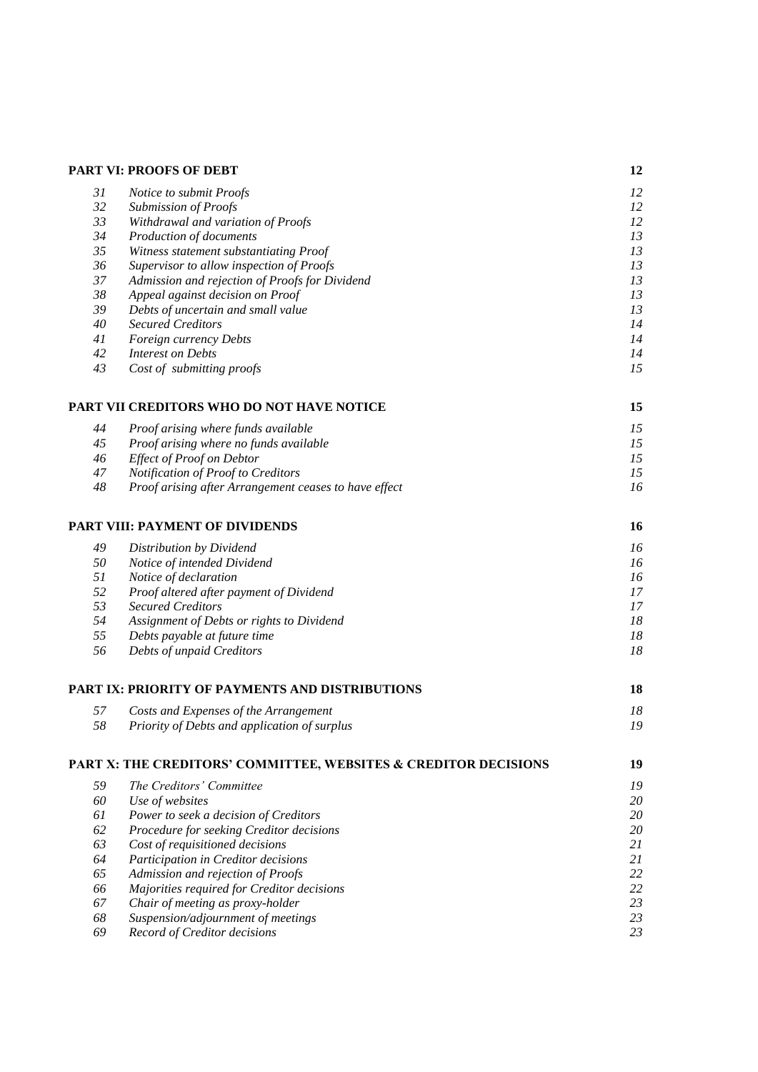|    | PART VI: PROOFS OF DEBT                                         | 12 |
|----|-----------------------------------------------------------------|----|
| 31 | Notice to submit Proofs                                         | 12 |
| 32 | <b>Submission of Proofs</b>                                     | 12 |
| 33 | Withdrawal and variation of Proofs                              | 12 |
| 34 | Production of documents                                         | 13 |
| 35 | Witness statement substantiating Proof                          | 13 |
| 36 | Supervisor to allow inspection of Proofs                        | 13 |
| 37 | Admission and rejection of Proofs for Dividend                  | 13 |
| 38 | Appeal against decision on Proof                                | 13 |
| 39 | Debts of uncertain and small value                              | 13 |
| 40 | <b>Secured Creditors</b>                                        | 14 |
| 41 | Foreign currency Debts                                          | 14 |
| 42 | <b>Interest on Debts</b>                                        | 14 |
| 43 | Cost of submitting proofs                                       | 15 |
|    | PART VII CREDITORS WHO DO NOT HAVE NOTICE                       | 15 |
| 44 | Proof arising where funds available                             | 15 |
| 45 | Proof arising where no funds available                          | 15 |
| 46 | <b>Effect of Proof on Debtor</b>                                | 15 |
| 47 | Notification of Proof to Creditors                              | 15 |
| 48 | Proof arising after Arrangement ceases to have effect           | 16 |
|    | <b>PART VIII: PAYMENT OF DIVIDENDS</b>                          | 16 |
| 49 | Distribution by Dividend                                        | 16 |
| 50 | Notice of intended Dividend                                     | 16 |
| 51 | Notice of declaration                                           | 16 |
| 52 | Proof altered after payment of Dividend                         | 17 |
| 53 | <b>Secured Creditors</b>                                        | 17 |
| 54 | Assignment of Debts or rights to Dividend                       | 18 |
| 55 | Debts payable at future time                                    | 18 |
| 56 | Debts of unpaid Creditors                                       | 18 |
|    | PART IX: PRIORITY OF PAYMENTS AND DISTRIBUTIONS                 | 18 |
|    |                                                                 |    |
| 57 | Costs and Expenses of the Arrangement                           | 18 |
| 58 | Priority of Debts and application of surplus                    | 19 |
|    | PART X: THE CREDITORS' COMMITTEE, WEBSITES & CREDITOR DECISIONS | 19 |
| 59 | The Creditors' Committee                                        | 19 |
| 60 | Use of websites                                                 | 20 |
| 61 | Power to seek a decision of Creditors                           | 20 |
| 62 | Procedure for seeking Creditor decisions                        | 20 |
| 63 | Cost of requisitioned decisions                                 | 21 |
| 64 | Participation in Creditor decisions                             | 21 |
| 65 | Admission and rejection of Proofs                               | 22 |
| 66 | Majorities required for Creditor decisions                      | 22 |
| 67 | Chair of meeting as proxy-holder                                | 23 |
| 68 | Suspension/adjournment of meetings                              | 23 |
| 69 | Record of Creditor decisions                                    | 23 |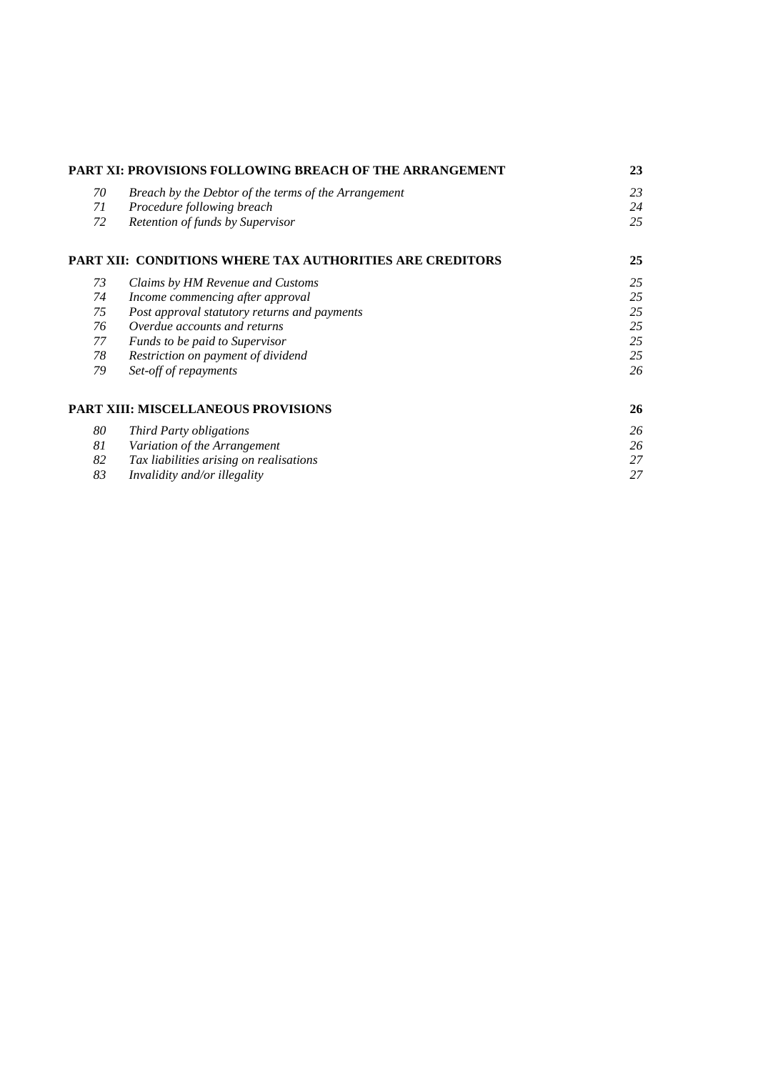| PART XI: PROVISIONS FOLLOWING BREACH OF THE ARRANGEMENT |                                                          | 23 |
|---------------------------------------------------------|----------------------------------------------------------|----|
| 70                                                      | Breach by the Debtor of the terms of the Arrangement     | 23 |
| 71                                                      | Procedure following breach                               | 24 |
| 72                                                      | Retention of funds by Supervisor                         | 25 |
|                                                         | PART XII: CONDITIONS WHERE TAX AUTHORITIES ARE CREDITORS | 25 |
| 73                                                      | Claims by HM Revenue and Customs                         | 25 |
| 74                                                      | Income commencing after approval                         | 25 |
| 75                                                      | Post approval statutory returns and payments             | 25 |
| 76                                                      | Overdue accounts and returns                             | 25 |
| 77                                                      | Funds to be paid to Supervisor                           | 25 |
| 78                                                      | Restriction on payment of dividend                       | 25 |
| 79                                                      | Set-off of repayments                                    | 26 |
|                                                         | PART XIII: MISCELLANEOUS PROVISIONS                      | 26 |
| 80                                                      | <b>Third Party obligations</b>                           | 26 |
| 81                                                      | Variation of the Arrangement                             | 26 |
| 82                                                      | Tax liabilities arising on realisations                  | 27 |
| 83                                                      | Invalidity and/or illegality                             | 27 |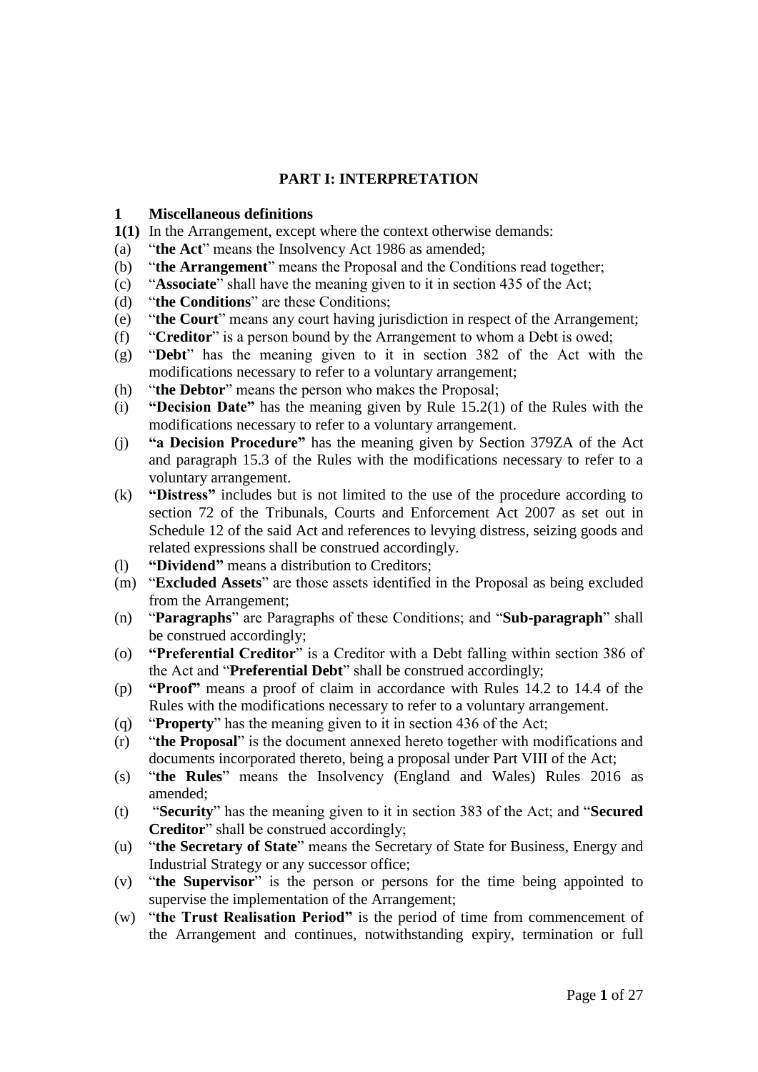# **PART I: INTERPRETATION**

### **1 Miscellaneous definitions**

- **1(1)** In the Arrangement, except where the context otherwise demands:
- (a) "**the Act**" means the Insolvency Act 1986 as amended;
- (b) "**the Arrangement**" means the Proposal and the Conditions read together;
- (c) "**Associate**" shall have the meaning given to it in section 435 of the Act;
- (d) "**the Conditions**" are these Conditions;
- (e) "**the Court**" means any court having jurisdiction in respect of the Arrangement;
- (f) "**Creditor**" is a person bound by the Arrangement to whom a Debt is owed;
- (g) "**Debt**" has the meaning given to it in section 382 of the Act with the modifications necessary to refer to a voluntary arrangement;
- (h) "**the Debtor**" means the person who makes the Proposal;
- (i) **"Decision Date"** has the meaning given by Rule 15.2(1) of the Rules with the modifications necessary to refer to a voluntary arrangement.
- (j) **"a Decision Procedure"** has the meaning given by Section 379ZA of the Act and paragraph 15.3 of the Rules with the modifications necessary to refer to a voluntary arrangement.
- (k) **"Distress"** includes but is not limited to the use of the procedure according to section 72 of the Tribunals, Courts and Enforcement Act 2007 as set out in Schedule 12 of the said Act and references to levying distress, seizing goods and related expressions shall be construed accordingly.
- (l) **"Dividend"** means a distribution to Creditors;
- (m) "**Excluded Assets**" are those assets identified in the Proposal as being excluded from the Arrangement;
- (n) "**Paragraphs**" are Paragraphs of these Conditions; and "**Sub-paragraph**" shall be construed accordingly;
- (o) **"Preferential Creditor**" is a Creditor with a Debt falling within section 386 of the Act and "**Preferential Debt**" shall be construed accordingly;
- (p) **"Proof"** means a proof of claim in accordance with Rules 14.2 to 14.4 of the Rules with the modifications necessary to refer to a voluntary arrangement.
- (q) "**Property**" has the meaning given to it in section 436 of the Act;
- (r) "**the Proposal**" is the document annexed hereto together with modifications and documents incorporated thereto, being a proposal under Part VIII of the Act;
- (s) "**the Rules**" means the Insolvency (England and Wales) Rules 2016 as amended;
- (t) "**Security**" has the meaning given to it in section 383 of the Act; and "**Secured Creditor**" shall be construed accordingly;
- (u) "**the Secretary of State**" means the Secretary of State for Business, Energy and Industrial Strategy or any successor office;
- (v) "**the Supervisor**" is the person or persons for the time being appointed to supervise the implementation of the Arrangement;
- (w) "**the Trust Realisation Period"** is the period of time from commencement of the Arrangement and continues, notwithstanding expiry, termination or full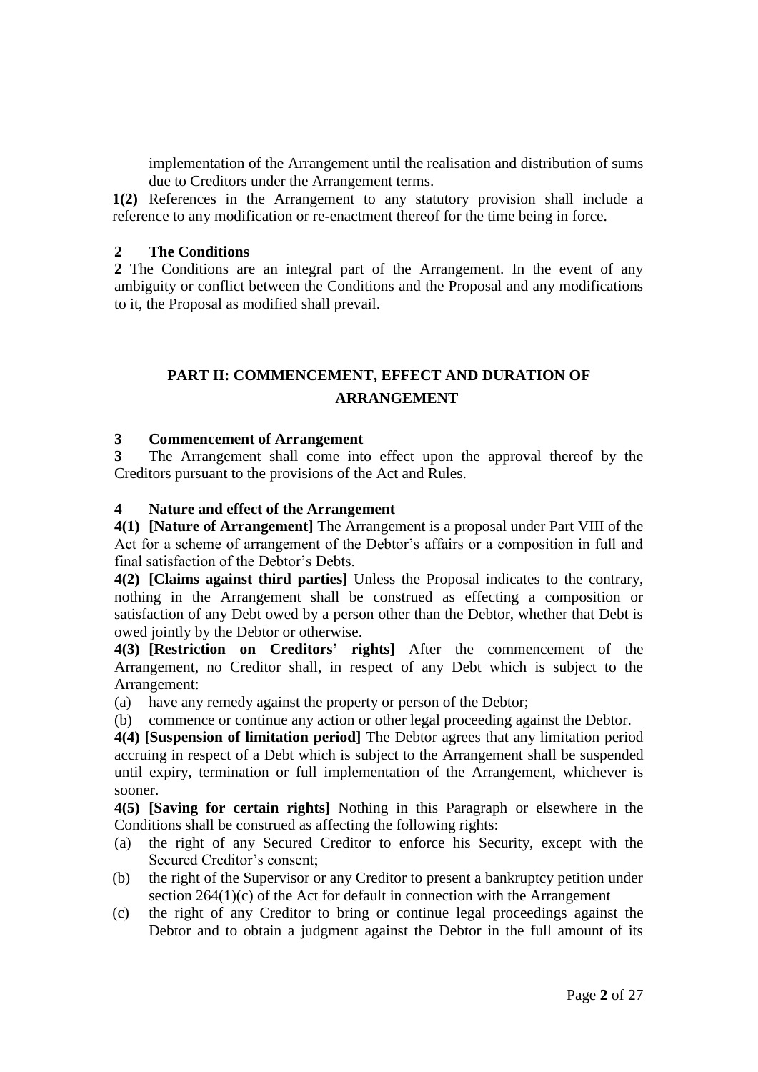implementation of the Arrangement until the realisation and distribution of sums due to Creditors under the Arrangement terms.

**1(2)** References in the Arrangement to any statutory provision shall include a reference to any modification or re-enactment thereof for the time being in force.

#### **2 The Conditions**

**2** The Conditions are an integral part of the Arrangement. In the event of any ambiguity or conflict between the Conditions and the Proposal and any modifications to it, the Proposal as modified shall prevail.

# **PART II: COMMENCEMENT, EFFECT AND DURATION OF ARRANGEMENT**

#### **3 Commencement of Arrangement**

**3** The Arrangement shall come into effect upon the approval thereof by the Creditors pursuant to the provisions of the Act and Rules.

### **4 Nature and effect of the Arrangement**

**4(1) [Nature of Arrangement]** The Arrangement is a proposal under Part VIII of the Act for a scheme of arrangement of the Debtor's affairs or a composition in full and final satisfaction of the Debtor's Debts.

**4(2) [Claims against third parties]** Unless the Proposal indicates to the contrary, nothing in the Arrangement shall be construed as effecting a composition or satisfaction of any Debt owed by a person other than the Debtor, whether that Debt is owed jointly by the Debtor or otherwise.

**4(3) [Restriction on Creditors' rights]** After the commencement of the Arrangement, no Creditor shall, in respect of any Debt which is subject to the Arrangement:

(a) have any remedy against the property or person of the Debtor;

(b) commence or continue any action or other legal proceeding against the Debtor.

**4(4) [Suspension of limitation period]** The Debtor agrees that any limitation period accruing in respect of a Debt which is subject to the Arrangement shall be suspended until expiry, termination or full implementation of the Arrangement, whichever is sooner.

**4(5) [Saving for certain rights]** Nothing in this Paragraph or elsewhere in the Conditions shall be construed as affecting the following rights:

- (a) the right of any Secured Creditor to enforce his Security, except with the Secured Creditor's consent;
- (b) the right of the Supervisor or any Creditor to present a bankruptcy petition under section  $264(1)(c)$  of the Act for default in connection with the Arrangement
- (c) the right of any Creditor to bring or continue legal proceedings against the Debtor and to obtain a judgment against the Debtor in the full amount of its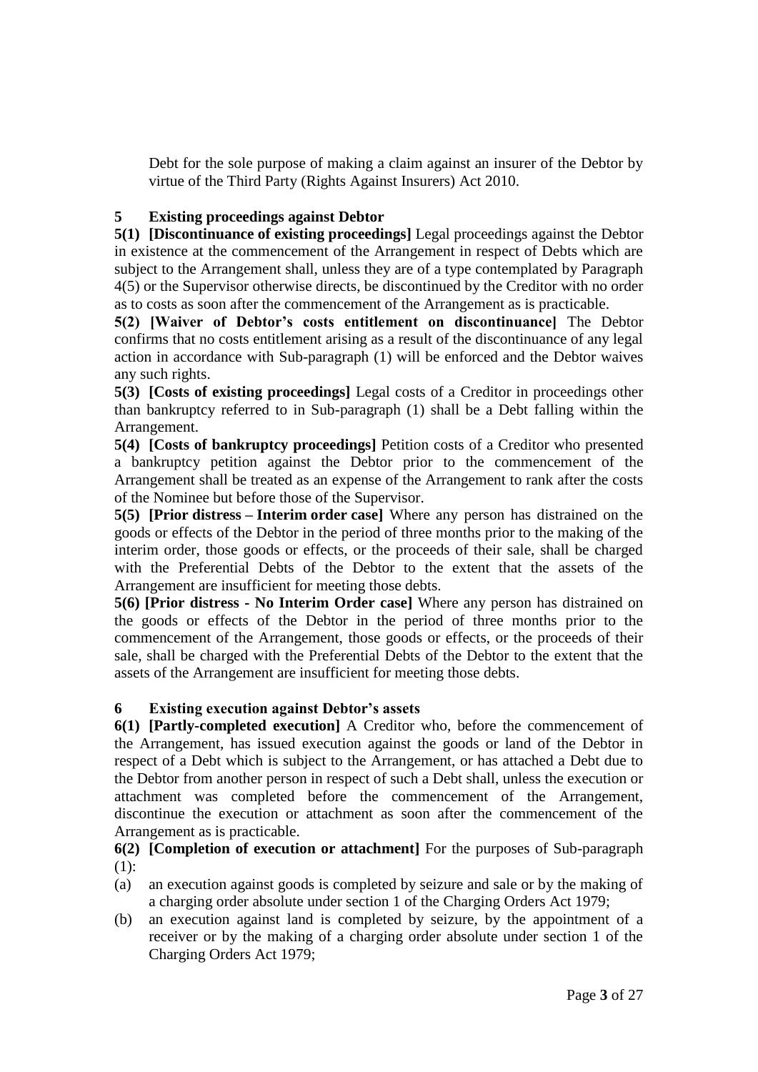Debt for the sole purpose of making a claim against an insurer of the Debtor by virtue of the Third Party (Rights Against Insurers) Act 2010.

### **5 Existing proceedings against Debtor**

**5(1) [Discontinuance of existing proceedings]** Legal proceedings against the Debtor in existence at the commencement of the Arrangement in respect of Debts which are subject to the Arrangement shall, unless they are of a type contemplated by Paragraph 4(5) or the Supervisor otherwise directs, be discontinued by the Creditor with no order as to costs as soon after the commencement of the Arrangement as is practicable.

**5(2) [Waiver of Debtor's costs entitlement on discontinuance]** The Debtor confirms that no costs entitlement arising as a result of the discontinuance of any legal action in accordance with Sub-paragraph (1) will be enforced and the Debtor waives any such rights.

**5(3) [Costs of existing proceedings]** Legal costs of a Creditor in proceedings other than bankruptcy referred to in Sub-paragraph (1) shall be a Debt falling within the Arrangement.

**5(4) [Costs of bankruptcy proceedings]** Petition costs of a Creditor who presented a bankruptcy petition against the Debtor prior to the commencement of the Arrangement shall be treated as an expense of the Arrangement to rank after the costs of the Nominee but before those of the Supervisor.

**5(5) [Prior distress – Interim order case]** Where any person has distrained on the goods or effects of the Debtor in the period of three months prior to the making of the interim order, those goods or effects, or the proceeds of their sale, shall be charged with the Preferential Debts of the Debtor to the extent that the assets of the Arrangement are insufficient for meeting those debts.

**5(6) [Prior distress - No Interim Order case]** Where any person has distrained on the goods or effects of the Debtor in the period of three months prior to the commencement of the Arrangement, those goods or effects, or the proceeds of their sale, shall be charged with the Preferential Debts of the Debtor to the extent that the assets of the Arrangement are insufficient for meeting those debts.

# **6 Existing execution against Debtor's assets**

**6(1) [Partly-completed execution]** A Creditor who, before the commencement of the Arrangement, has issued execution against the goods or land of the Debtor in respect of a Debt which is subject to the Arrangement, or has attached a Debt due to the Debtor from another person in respect of such a Debt shall, unless the execution or attachment was completed before the commencement of the Arrangement, discontinue the execution or attachment as soon after the commencement of the Arrangement as is practicable.

**6(2) [Completion of execution or attachment]** For the purposes of Sub-paragraph (1):

- (a) an execution against goods is completed by seizure and sale or by the making of a charging order absolute under section 1 of the Charging Orders Act 1979;
- (b) an execution against land is completed by seizure, by the appointment of a receiver or by the making of a charging order absolute under section 1 of the Charging Orders Act 1979;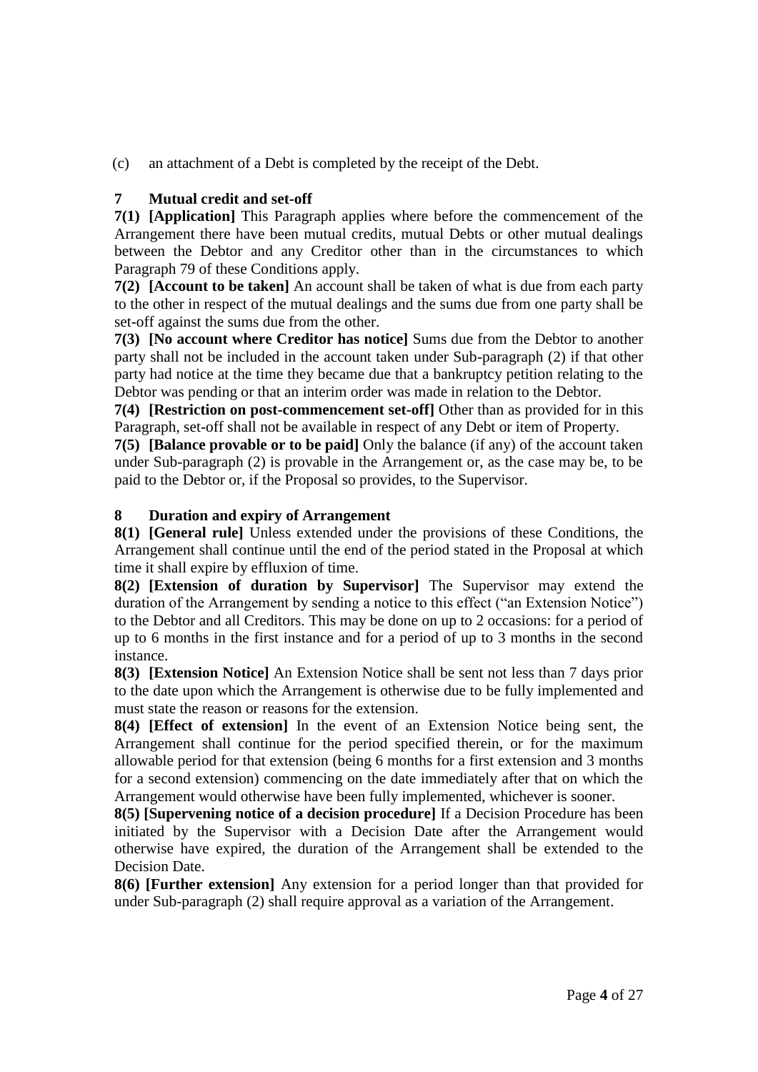(c) an attachment of a Debt is completed by the receipt of the Debt.

# **7 Mutual credit and set-off**

**7(1) [Application]** This Paragraph applies where before the commencement of the Arrangement there have been mutual credits, mutual Debts or other mutual dealings between the Debtor and any Creditor other than in the circumstances to which Paragraph 79 of these Conditions apply.

**7(2) [Account to be taken]** An account shall be taken of what is due from each party to the other in respect of the mutual dealings and the sums due from one party shall be set-off against the sums due from the other.

**7(3) [No account where Creditor has notice]** Sums due from the Debtor to another party shall not be included in the account taken under Sub-paragraph (2) if that other party had notice at the time they became due that a bankruptcy petition relating to the Debtor was pending or that an interim order was made in relation to the Debtor.

**7(4) [Restriction on post-commencement set-off]** Other than as provided for in this Paragraph, set-off shall not be available in respect of any Debt or item of Property.

**7(5) [Balance provable or to be paid]** Only the balance (if any) of the account taken under Sub-paragraph (2) is provable in the Arrangement or, as the case may be, to be paid to the Debtor or, if the Proposal so provides, to the Supervisor.

# **8 Duration and expiry of Arrangement**

**8(1) [General rule]** Unless extended under the provisions of these Conditions, the Arrangement shall continue until the end of the period stated in the Proposal at which time it shall expire by effluxion of time.

**8(2) [Extension of duration by Supervisor]** The Supervisor may extend the duration of the Arrangement by sending a notice to this effect ("an Extension Notice") to the Debtor and all Creditors. This may be done on up to 2 occasions: for a period of up to 6 months in the first instance and for a period of up to 3 months in the second instance.

**8(3) [Extension Notice]** An Extension Notice shall be sent not less than 7 days prior to the date upon which the Arrangement is otherwise due to be fully implemented and must state the reason or reasons for the extension.

**8(4) [Effect of extension]** In the event of an Extension Notice being sent, the Arrangement shall continue for the period specified therein, or for the maximum allowable period for that extension (being 6 months for a first extension and 3 months for a second extension) commencing on the date immediately after that on which the Arrangement would otherwise have been fully implemented, whichever is sooner.

**8(5) [Supervening notice of a decision procedure]** If a Decision Procedure has been initiated by the Supervisor with a Decision Date after the Arrangement would otherwise have expired, the duration of the Arrangement shall be extended to the Decision Date.

**8(6) [Further extension]** Any extension for a period longer than that provided for under Sub-paragraph (2) shall require approval as a variation of the Arrangement.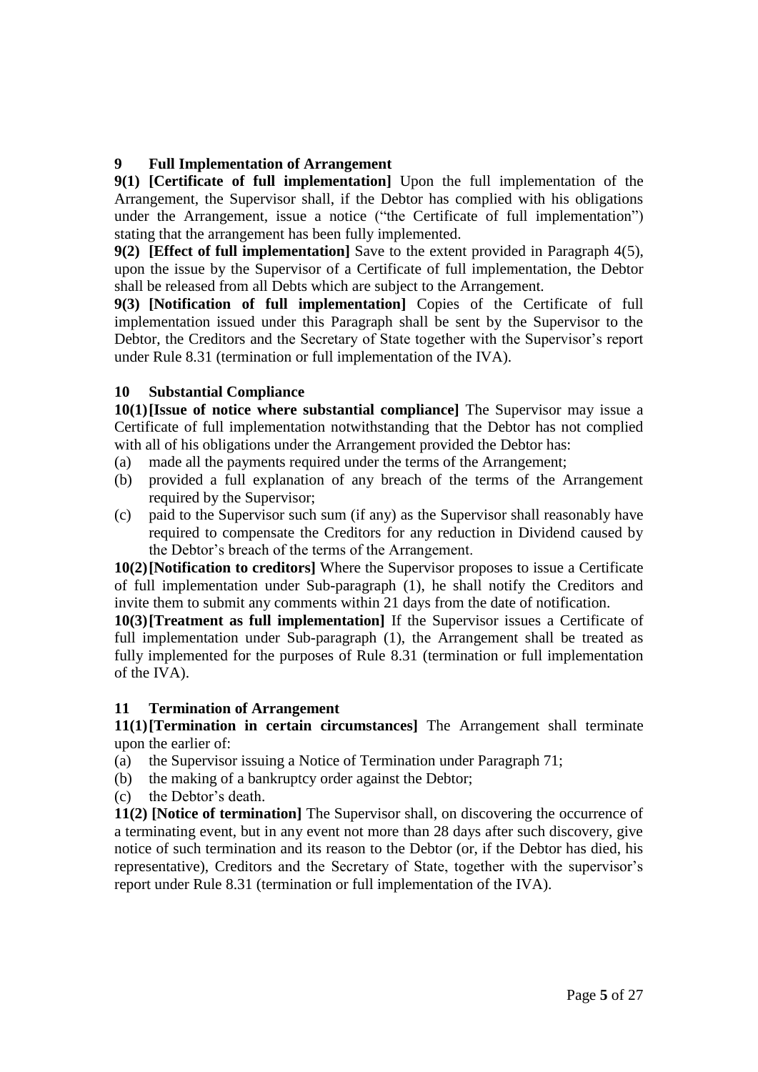# **9 Full Implementation of Arrangement**

**9(1) [Certificate of full implementation]** Upon the full implementation of the Arrangement, the Supervisor shall, if the Debtor has complied with his obligations under the Arrangement, issue a notice ("the Certificate of full implementation") stating that the arrangement has been fully implemented.

**9(2) [Effect of full implementation]** Save to the extent provided in Paragraph 4(5), upon the issue by the Supervisor of a Certificate of full implementation, the Debtor shall be released from all Debts which are subject to the Arrangement.

**9(3) [Notification of full implementation]** Copies of the Certificate of full implementation issued under this Paragraph shall be sent by the Supervisor to the Debtor, the Creditors and the Secretary of State together with the Supervisor's report under Rule 8.31 (termination or full implementation of the IVA).

# **10 Substantial Compliance**

**10(1)[Issue of notice where substantial compliance]** The Supervisor may issue a Certificate of full implementation notwithstanding that the Debtor has not complied with all of his obligations under the Arrangement provided the Debtor has:

- (a) made all the payments required under the terms of the Arrangement;
- (b) provided a full explanation of any breach of the terms of the Arrangement required by the Supervisor;
- (c) paid to the Supervisor such sum (if any) as the Supervisor shall reasonably have required to compensate the Creditors for any reduction in Dividend caused by the Debtor's breach of the terms of the Arrangement.

**10(2)[Notification to creditors]** Where the Supervisor proposes to issue a Certificate of full implementation under Sub-paragraph (1), he shall notify the Creditors and invite them to submit any comments within 21 days from the date of notification.

**10(3)[Treatment as full implementation]** If the Supervisor issues a Certificate of full implementation under Sub-paragraph (1), the Arrangement shall be treated as fully implemented for the purposes of Rule 8.31 (termination or full implementation of the IVA).

# **11 Termination of Arrangement**

**11(1)[Termination in certain circumstances]** The Arrangement shall terminate upon the earlier of:

- (a) the Supervisor issuing a Notice of Termination under Paragraph 71;
- (b) the making of a bankruptcy order against the Debtor;
- (c) the Debtor's death.

**11(2) [Notice of termination]** The Supervisor shall, on discovering the occurrence of a terminating event, but in any event not more than 28 days after such discovery, give notice of such termination and its reason to the Debtor (or, if the Debtor has died, his representative), Creditors and the Secretary of State, together with the supervisor's report under Rule 8.31 (termination or full implementation of the IVA).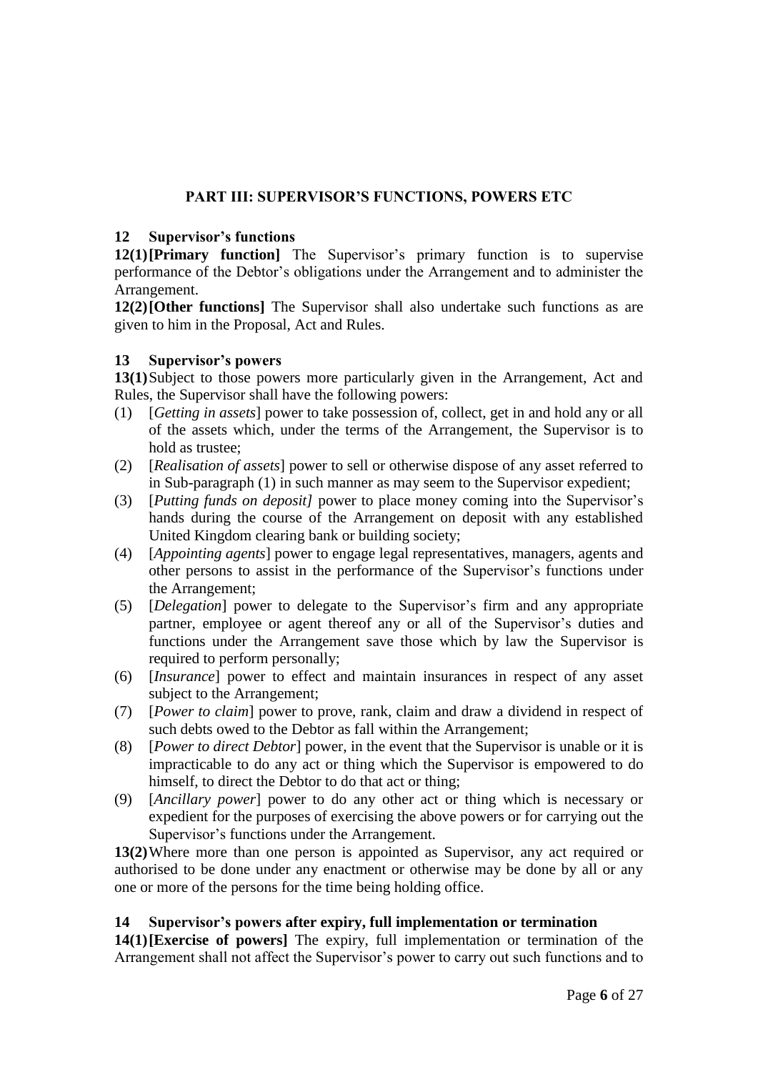# **PART III: SUPERVISOR'S FUNCTIONS, POWERS ETC**

## **12 Supervisor's functions**

**12(1)[Primary function]** The Supervisor's primary function is to supervise performance of the Debtor's obligations under the Arrangement and to administer the Arrangement.

**12(2)[Other functions]** The Supervisor shall also undertake such functions as are given to him in the Proposal, Act and Rules.

### **13 Supervisor's powers**

**13(1)**Subject to those powers more particularly given in the Arrangement, Act and Rules, the Supervisor shall have the following powers:

- (1) [*Getting in assets*] power to take possession of, collect, get in and hold any or all of the assets which, under the terms of the Arrangement, the Supervisor is to hold as trustee;
- (2) [*Realisation of assets*] power to sell or otherwise dispose of any asset referred to in Sub-paragraph (1) in such manner as may seem to the Supervisor expedient;
- (3) [*Putting funds on deposit]* power to place money coming into the Supervisor's hands during the course of the Arrangement on deposit with any established United Kingdom clearing bank or building society;
- (4) [*Appointing agents*] power to engage legal representatives, managers, agents and other persons to assist in the performance of the Supervisor's functions under the Arrangement;
- (5) [*Delegation*] power to delegate to the Supervisor's firm and any appropriate partner, employee or agent thereof any or all of the Supervisor's duties and functions under the Arrangement save those which by law the Supervisor is required to perform personally;
- (6) [*Insurance*] power to effect and maintain insurances in respect of any asset subject to the Arrangement;
- (7) [*Power to claim*] power to prove, rank, claim and draw a dividend in respect of such debts owed to the Debtor as fall within the Arrangement;
- (8) [*Power to direct Debtor*] power, in the event that the Supervisor is unable or it is impracticable to do any act or thing which the Supervisor is empowered to do himself, to direct the Debtor to do that act or thing;
- (9) [*Ancillary power*] power to do any other act or thing which is necessary or expedient for the purposes of exercising the above powers or for carrying out the Supervisor's functions under the Arrangement.

**13(2)**Where more than one person is appointed as Supervisor, any act required or authorised to be done under any enactment or otherwise may be done by all or any one or more of the persons for the time being holding office.

### **14 Supervisor's powers after expiry, full implementation or termination**

**14(1)[Exercise of powers]** The expiry, full implementation or termination of the Arrangement shall not affect the Supervisor's power to carry out such functions and to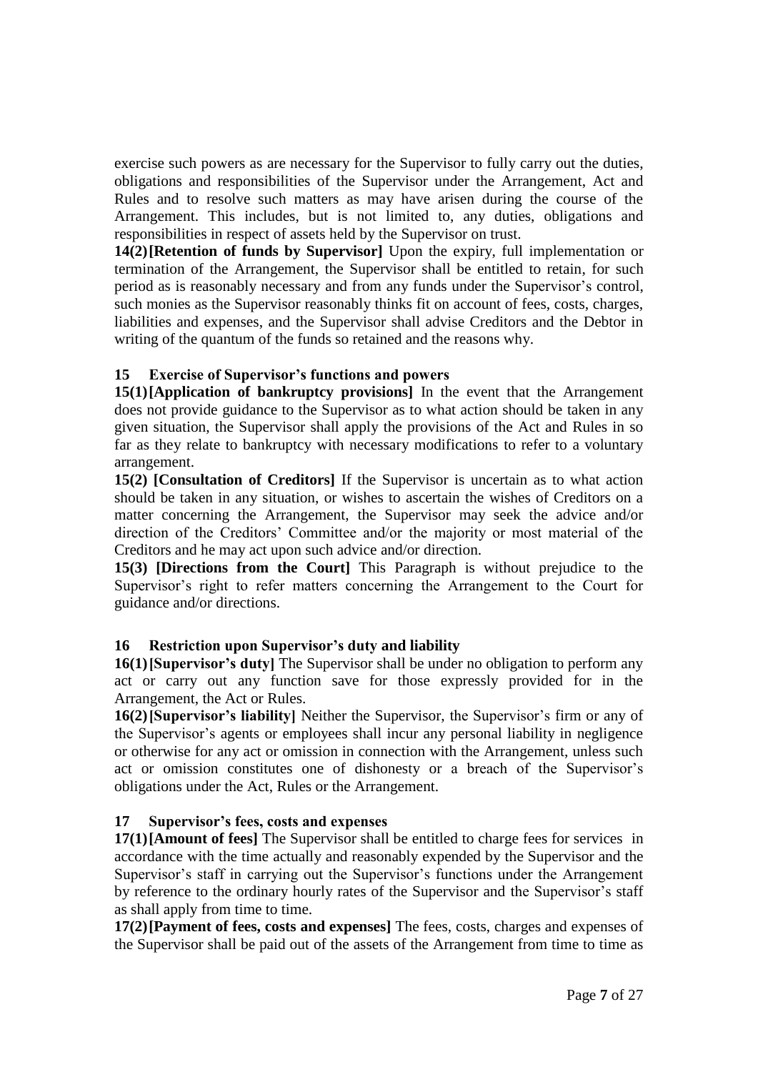exercise such powers as are necessary for the Supervisor to fully carry out the duties, obligations and responsibilities of the Supervisor under the Arrangement, Act and Rules and to resolve such matters as may have arisen during the course of the Arrangement. This includes, but is not limited to, any duties, obligations and responsibilities in respect of assets held by the Supervisor on trust.

**14(2)[Retention of funds by Supervisor]** Upon the expiry, full implementation or termination of the Arrangement, the Supervisor shall be entitled to retain, for such period as is reasonably necessary and from any funds under the Supervisor's control, such monies as the Supervisor reasonably thinks fit on account of fees, costs, charges, liabilities and expenses, and the Supervisor shall advise Creditors and the Debtor in writing of the quantum of the funds so retained and the reasons why.

# **15 Exercise of Supervisor's functions and powers**

**15(1)[Application of bankruptcy provisions]** In the event that the Arrangement does not provide guidance to the Supervisor as to what action should be taken in any given situation, the Supervisor shall apply the provisions of the Act and Rules in so far as they relate to bankruptcy with necessary modifications to refer to a voluntary arrangement.

**15(2) [Consultation of Creditors]** If the Supervisor is uncertain as to what action should be taken in any situation, or wishes to ascertain the wishes of Creditors on a matter concerning the Arrangement, the Supervisor may seek the advice and/or direction of the Creditors' Committee and/or the majority or most material of the Creditors and he may act upon such advice and/or direction.

**15(3) [Directions from the Court]** This Paragraph is without prejudice to the Supervisor's right to refer matters concerning the Arrangement to the Court for guidance and/or directions.

# **16 Restriction upon Supervisor's duty and liability**

**16(1)[Supervisor's duty]** The Supervisor shall be under no obligation to perform any act or carry out any function save for those expressly provided for in the Arrangement, the Act or Rules.

**16(2)[Supervisor's liability]** Neither the Supervisor, the Supervisor's firm or any of the Supervisor's agents or employees shall incur any personal liability in negligence or otherwise for any act or omission in connection with the Arrangement, unless such act or omission constitutes one of dishonesty or a breach of the Supervisor's obligations under the Act, Rules or the Arrangement.

# **17 Supervisor's fees, costs and expenses**

**17(1)[Amount of fees]** The Supervisor shall be entitled to charge fees for services in accordance with the time actually and reasonably expended by the Supervisor and the Supervisor's staff in carrying out the Supervisor's functions under the Arrangement by reference to the ordinary hourly rates of the Supervisor and the Supervisor's staff as shall apply from time to time.

**17(2)[Payment of fees, costs and expenses]** The fees, costs, charges and expenses of the Supervisor shall be paid out of the assets of the Arrangement from time to time as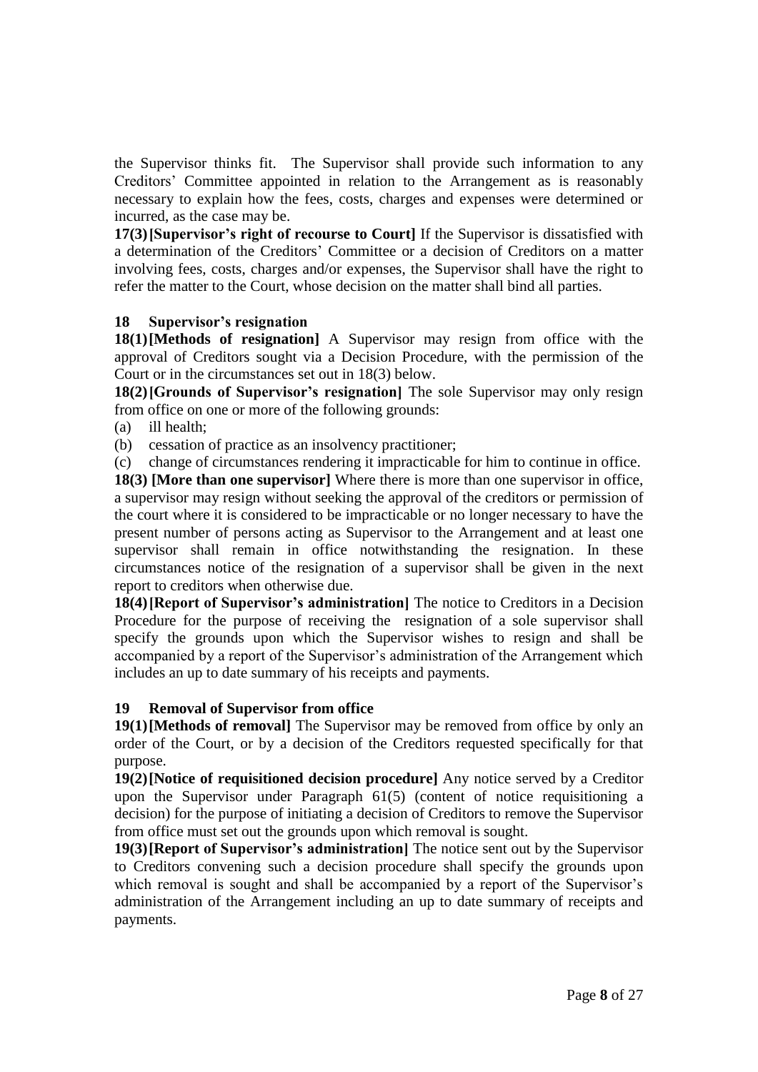the Supervisor thinks fit. The Supervisor shall provide such information to any Creditors' Committee appointed in relation to the Arrangement as is reasonably necessary to explain how the fees, costs, charges and expenses were determined or incurred, as the case may be.

**17(3)[Supervisor's right of recourse to Court]** If the Supervisor is dissatisfied with a determination of the Creditors' Committee or a decision of Creditors on a matter involving fees, costs, charges and/or expenses, the Supervisor shall have the right to refer the matter to the Court, whose decision on the matter shall bind all parties.

### **18 Supervisor's resignation**

**18(1)[Methods of resignation]** A Supervisor may resign from office with the approval of Creditors sought via a Decision Procedure, with the permission of the Court or in the circumstances set out in 18(3) below.

**18(2)[Grounds of Supervisor's resignation]** The sole Supervisor may only resign from office on one or more of the following grounds:

(a) ill health;

(b) cessation of practice as an insolvency practitioner;

(c) change of circumstances rendering it impracticable for him to continue in office.

**18(3) [More than one supervisor]** Where there is more than one supervisor in office, a supervisor may resign without seeking the approval of the creditors or permission of the court where it is considered to be impracticable or no longer necessary to have the present number of persons acting as Supervisor to the Arrangement and at least one supervisor shall remain in office notwithstanding the resignation. In these circumstances notice of the resignation of a supervisor shall be given in the next report to creditors when otherwise due.

**18(4)[Report of Supervisor's administration]** The notice to Creditors in a Decision Procedure for the purpose of receiving the resignation of a sole supervisor shall specify the grounds upon which the Supervisor wishes to resign and shall be accompanied by a report of the Supervisor's administration of the Arrangement which includes an up to date summary of his receipts and payments.

# **19 Removal of Supervisor from office**

**19(1)[Methods of removal]** The Supervisor may be removed from office by only an order of the Court, or by a decision of the Creditors requested specifically for that purpose.

**19(2)[Notice of requisitioned decision procedure]** Any notice served by a Creditor upon the Supervisor under Paragraph 61(5) (content of notice requisitioning a decision) for the purpose of initiating a decision of Creditors to remove the Supervisor from office must set out the grounds upon which removal is sought.

**19(3)[Report of Supervisor's administration]** The notice sent out by the Supervisor to Creditors convening such a decision procedure shall specify the grounds upon which removal is sought and shall be accompanied by a report of the Supervisor's administration of the Arrangement including an up to date summary of receipts and payments.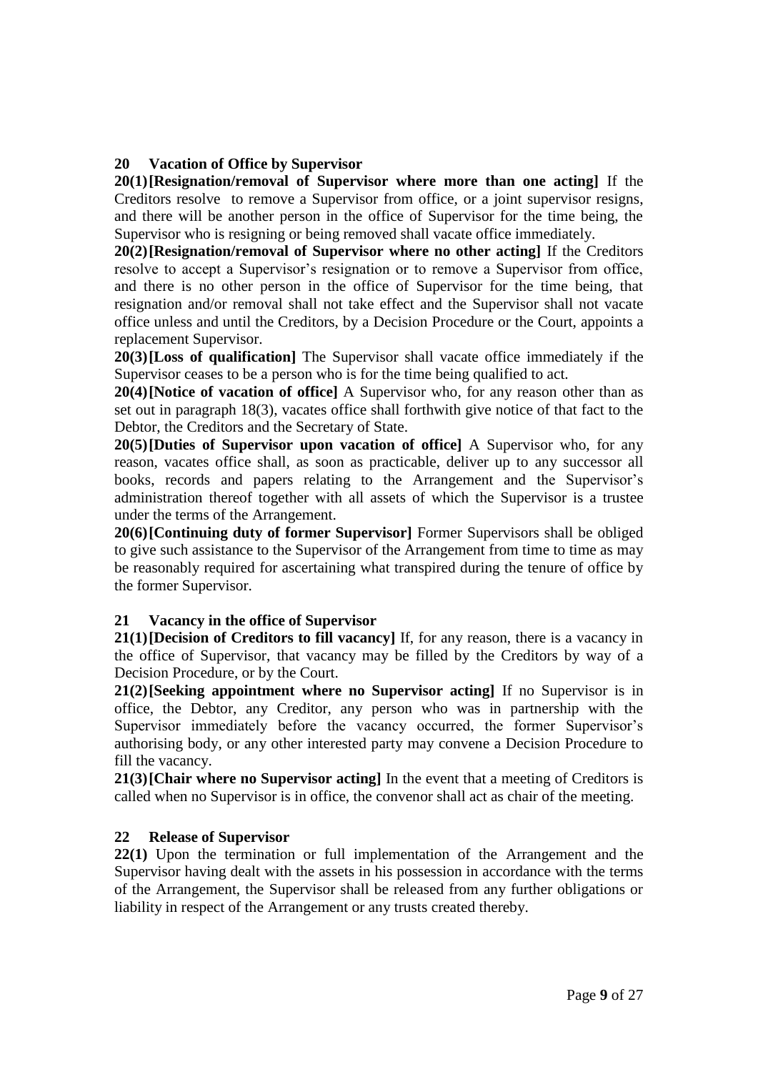## **20 Vacation of Office by Supervisor**

**20(1)[Resignation/removal of Supervisor where more than one acting]** If the Creditors resolve to remove a Supervisor from office, or a joint supervisor resigns, and there will be another person in the office of Supervisor for the time being, the Supervisor who is resigning or being removed shall vacate office immediately.

**20(2)[Resignation/removal of Supervisor where no other acting]** If the Creditors resolve to accept a Supervisor's resignation or to remove a Supervisor from office, and there is no other person in the office of Supervisor for the time being, that resignation and/or removal shall not take effect and the Supervisor shall not vacate office unless and until the Creditors, by a Decision Procedure or the Court, appoints a replacement Supervisor.

**20(3)[Loss of qualification]** The Supervisor shall vacate office immediately if the Supervisor ceases to be a person who is for the time being qualified to act.

**20(4)[Notice of vacation of office]** A Supervisor who, for any reason other than as set out in paragraph 18(3), vacates office shall forthwith give notice of that fact to the Debtor, the Creditors and the Secretary of State.

**20(5)[Duties of Supervisor upon vacation of office]** A Supervisor who, for any reason, vacates office shall, as soon as practicable, deliver up to any successor all books, records and papers relating to the Arrangement and the Supervisor's administration thereof together with all assets of which the Supervisor is a trustee under the terms of the Arrangement.

**20(6)[Continuing duty of former Supervisor]** Former Supervisors shall be obliged to give such assistance to the Supervisor of the Arrangement from time to time as may be reasonably required for ascertaining what transpired during the tenure of office by the former Supervisor.

### **21 Vacancy in the office of Supervisor**

**21(1)[Decision of Creditors to fill vacancy]** If, for any reason, there is a vacancy in the office of Supervisor, that vacancy may be filled by the Creditors by way of a Decision Procedure, or by the Court.

**21(2)[Seeking appointment where no Supervisor acting]** If no Supervisor is in office, the Debtor, any Creditor, any person who was in partnership with the Supervisor immediately before the vacancy occurred, the former Supervisor's authorising body, or any other interested party may convene a Decision Procedure to fill the vacancy.

**21(3)[Chair where no Supervisor acting]** In the event that a meeting of Creditors is called when no Supervisor is in office, the convenor shall act as chair of the meeting.

### **22 Release of Supervisor**

**22(1)** Upon the termination or full implementation of the Arrangement and the Supervisor having dealt with the assets in his possession in accordance with the terms of the Arrangement, the Supervisor shall be released from any further obligations or liability in respect of the Arrangement or any trusts created thereby.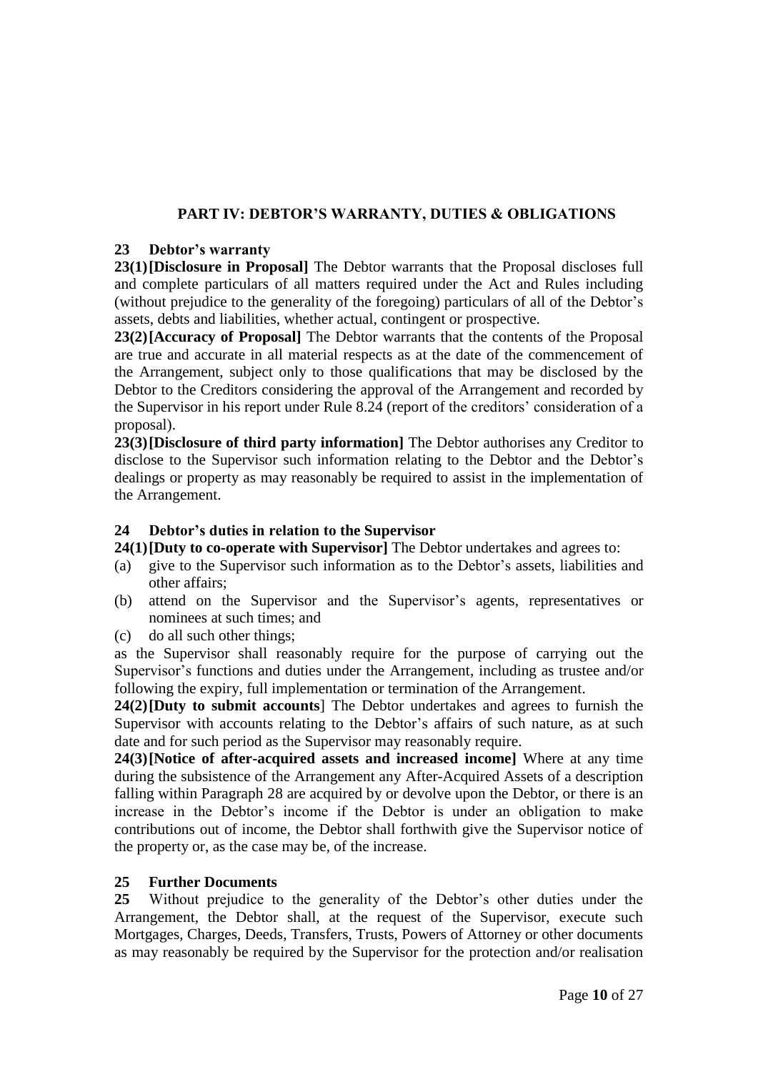# **PART IV: DEBTOR'S WARRANTY, DUTIES & OBLIGATIONS**

## **23 Debtor's warranty**

**23(1)[Disclosure in Proposal]** The Debtor warrants that the Proposal discloses full and complete particulars of all matters required under the Act and Rules including (without prejudice to the generality of the foregoing) particulars of all of the Debtor's assets, debts and liabilities, whether actual, contingent or prospective.

**23(2)[Accuracy of Proposal]** The Debtor warrants that the contents of the Proposal are true and accurate in all material respects as at the date of the commencement of the Arrangement, subject only to those qualifications that may be disclosed by the Debtor to the Creditors considering the approval of the Arrangement and recorded by the Supervisor in his report under Rule 8.24 (report of the creditors' consideration of a proposal).

**23(3)[Disclosure of third party information]** The Debtor authorises any Creditor to disclose to the Supervisor such information relating to the Debtor and the Debtor's dealings or property as may reasonably be required to assist in the implementation of the Arrangement.

# **24 Debtor's duties in relation to the Supervisor**

**24(1)[Duty to co-operate with Supervisor]** The Debtor undertakes and agrees to:

- (a) give to the Supervisor such information as to the Debtor's assets, liabilities and other affairs;
- (b) attend on the Supervisor and the Supervisor's agents, representatives or nominees at such times; and
- (c) do all such other things;

as the Supervisor shall reasonably require for the purpose of carrying out the Supervisor's functions and duties under the Arrangement, including as trustee and/or following the expiry, full implementation or termination of the Arrangement.

**24(2)[Duty to submit accounts**] The Debtor undertakes and agrees to furnish the Supervisor with accounts relating to the Debtor's affairs of such nature, as at such date and for such period as the Supervisor may reasonably require.

**24(3)[Notice of after-acquired assets and increased income]** Where at any time during the subsistence of the Arrangement any After-Acquired Assets of a description falling within Paragraph 28 are acquired by or devolve upon the Debtor, or there is an increase in the Debtor's income if the Debtor is under an obligation to make contributions out of income, the Debtor shall forthwith give the Supervisor notice of the property or, as the case may be, of the increase.

# **25 Further Documents**

**25** Without prejudice to the generality of the Debtor's other duties under the Arrangement, the Debtor shall, at the request of the Supervisor, execute such Mortgages, Charges, Deeds, Transfers, Trusts, Powers of Attorney or other documents as may reasonably be required by the Supervisor for the protection and/or realisation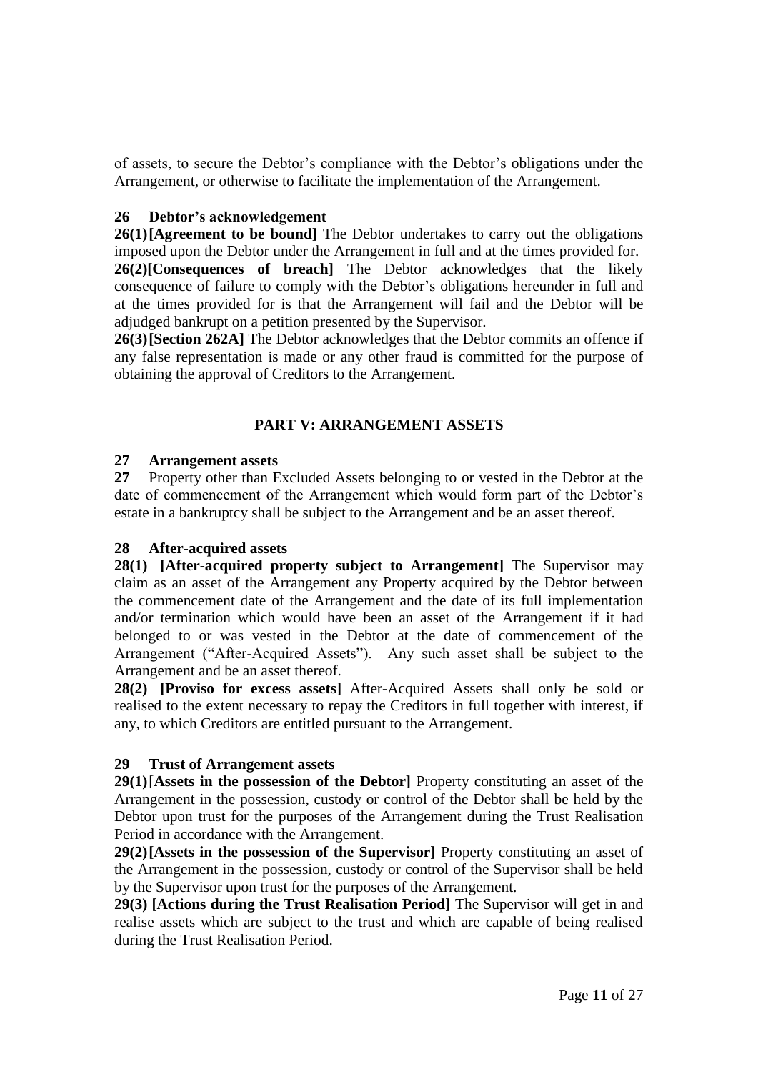of assets, to secure the Debtor's compliance with the Debtor's obligations under the Arrangement, or otherwise to facilitate the implementation of the Arrangement.

## **26 Debtor's acknowledgement**

**26(1)[Agreement to be bound]** The Debtor undertakes to carry out the obligations imposed upon the Debtor under the Arrangement in full and at the times provided for. **26(2)[Consequences of breach]** The Debtor acknowledges that the likely consequence of failure to comply with the Debtor's obligations hereunder in full and at the times provided for is that the Arrangement will fail and the Debtor will be adjudged bankrupt on a petition presented by the Supervisor.

**26(3)[Section 262A]** The Debtor acknowledges that the Debtor commits an offence if any false representation is made or any other fraud is committed for the purpose of obtaining the approval of Creditors to the Arrangement.

# **PART V: ARRANGEMENT ASSETS**

### **27 Arrangement assets**

**27** Property other than Excluded Assets belonging to or vested in the Debtor at the date of commencement of the Arrangement which would form part of the Debtor's estate in a bankruptcy shall be subject to the Arrangement and be an asset thereof.

# **28 After-acquired assets**

**28(1) [After-acquired property subject to Arrangement]** The Supervisor may claim as an asset of the Arrangement any Property acquired by the Debtor between the commencement date of the Arrangement and the date of its full implementation and/or termination which would have been an asset of the Arrangement if it had belonged to or was vested in the Debtor at the date of commencement of the Arrangement ("After-Acquired Assets"). Any such asset shall be subject to the Arrangement and be an asset thereof.

**28(2) [Proviso for excess assets]** After-Acquired Assets shall only be sold or realised to the extent necessary to repay the Creditors in full together with interest, if any, to which Creditors are entitled pursuant to the Arrangement.

# **29 Trust of Arrangement assets**

**29(1)**[**Assets in the possession of the Debtor]** Property constituting an asset of the Arrangement in the possession, custody or control of the Debtor shall be held by the Debtor upon trust for the purposes of the Arrangement during the Trust Realisation Period in accordance with the Arrangement.

**29(2)[Assets in the possession of the Supervisor]** Property constituting an asset of the Arrangement in the possession, custody or control of the Supervisor shall be held by the Supervisor upon trust for the purposes of the Arrangement.

**29(3) [Actions during the Trust Realisation Period]** The Supervisor will get in and realise assets which are subject to the trust and which are capable of being realised during the Trust Realisation Period.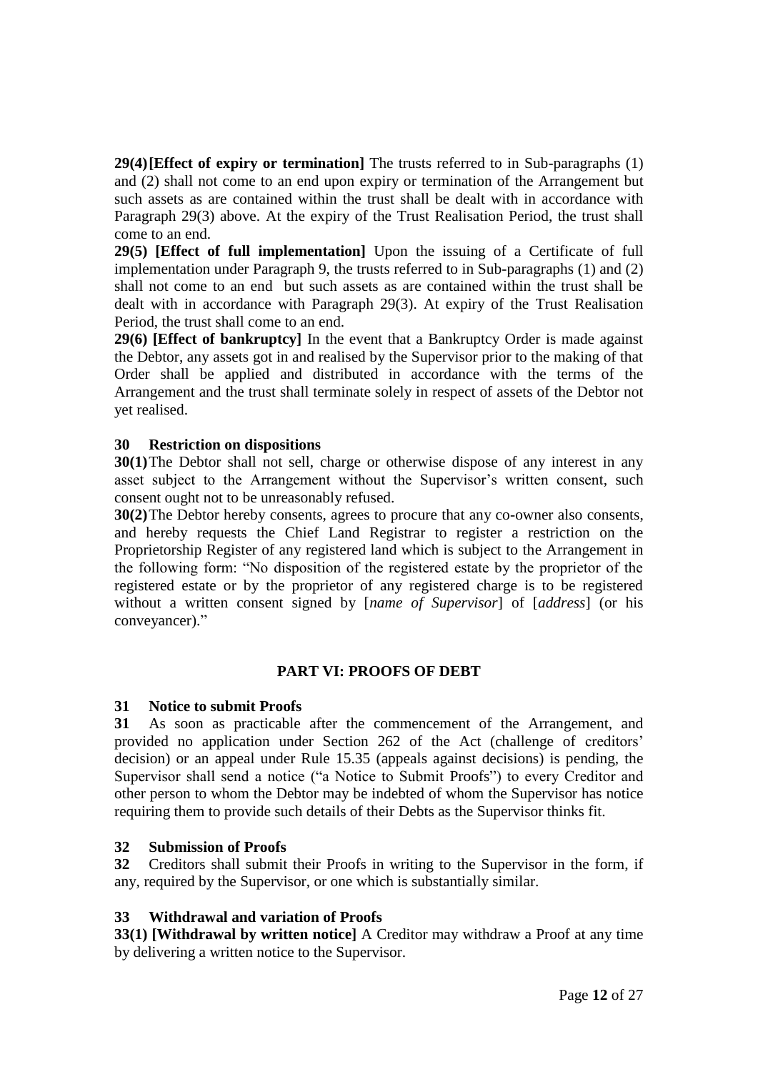**29(4)[Effect of expiry or termination]** The trusts referred to in Sub-paragraphs (1) and (2) shall not come to an end upon expiry or termination of the Arrangement but such assets as are contained within the trust shall be dealt with in accordance with Paragraph 29(3) above. At the expiry of the Trust Realisation Period, the trust shall come to an end.

**29(5) [Effect of full implementation]** Upon the issuing of a Certificate of full implementation under Paragraph 9, the trusts referred to in Sub-paragraphs (1) and (2) shall not come to an end but such assets as are contained within the trust shall be dealt with in accordance with Paragraph 29(3). At expiry of the Trust Realisation Period, the trust shall come to an end.

**29(6) [Effect of bankruptcy]** In the event that a Bankruptcy Order is made against the Debtor, any assets got in and realised by the Supervisor prior to the making of that Order shall be applied and distributed in accordance with the terms of the Arrangement and the trust shall terminate solely in respect of assets of the Debtor not yet realised.

### **30 Restriction on dispositions**

**30(1)**The Debtor shall not sell, charge or otherwise dispose of any interest in any asset subject to the Arrangement without the Supervisor's written consent, such consent ought not to be unreasonably refused.

**30(2)**The Debtor hereby consents, agrees to procure that any co-owner also consents, and hereby requests the Chief Land Registrar to register a restriction on the Proprietorship Register of any registered land which is subject to the Arrangement in the following form: "No disposition of the registered estate by the proprietor of the registered estate or by the proprietor of any registered charge is to be registered without a written consent signed by [*name of Supervisor*] of [*address*] (or his conveyancer)."

### **PART VI: PROOFS OF DEBT**

### **31 Notice to submit Proofs**

**31** As soon as practicable after the commencement of the Arrangement, and provided no application under Section 262 of the Act (challenge of creditors' decision) or an appeal under Rule 15.35 (appeals against decisions) is pending, the Supervisor shall send a notice ("a Notice to Submit Proofs") to every Creditor and other person to whom the Debtor may be indebted of whom the Supervisor has notice requiring them to provide such details of their Debts as the Supervisor thinks fit.

### **32 Submission of Proofs**

**32** Creditors shall submit their Proofs in writing to the Supervisor in the form, if any, required by the Supervisor, or one which is substantially similar.

# **33 Withdrawal and variation of Proofs**

**33(1) [Withdrawal by written notice]** A Creditor may withdraw a Proof at any time by delivering a written notice to the Supervisor.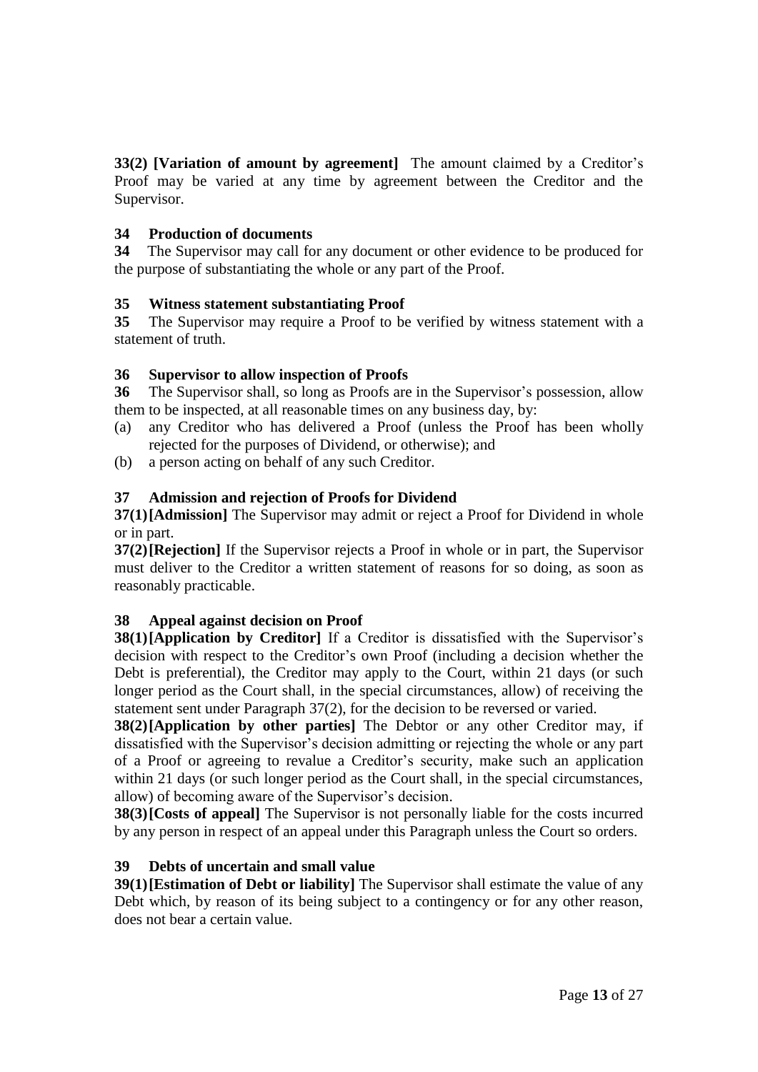**33(2) [Variation of amount by agreement]** The amount claimed by a Creditor's Proof may be varied at any time by agreement between the Creditor and the Supervisor.

## **34 Production of documents**

**34** The Supervisor may call for any document or other evidence to be produced for the purpose of substantiating the whole or any part of the Proof.

### **35 Witness statement substantiating Proof**

**35** The Supervisor may require a Proof to be verified by witness statement with a statement of truth.

### **36 Supervisor to allow inspection of Proofs**

**36** The Supervisor shall, so long as Proofs are in the Supervisor's possession, allow them to be inspected, at all reasonable times on any business day, by:

- (a) any Creditor who has delivered a Proof (unless the Proof has been wholly rejected for the purposes of Dividend, or otherwise); and
- (b) a person acting on behalf of any such Creditor.

### **37 Admission and rejection of Proofs for Dividend**

**37(1)[Admission]** The Supervisor may admit or reject a Proof for Dividend in whole or in part.

**37(2)[Rejection]** If the Supervisor rejects a Proof in whole or in part, the Supervisor must deliver to the Creditor a written statement of reasons for so doing, as soon as reasonably practicable.

# **38 Appeal against decision on Proof**

**38(1)[Application by Creditor]** If a Creditor is dissatisfied with the Supervisor's decision with respect to the Creditor's own Proof (including a decision whether the Debt is preferential), the Creditor may apply to the Court, within 21 days (or such longer period as the Court shall, in the special circumstances, allow) of receiving the statement sent under Paragraph 37(2), for the decision to be reversed or varied.

**38(2)[Application by other parties]** The Debtor or any other Creditor may, if dissatisfied with the Supervisor's decision admitting or rejecting the whole or any part of a Proof or agreeing to revalue a Creditor's security, make such an application within 21 days (or such longer period as the Court shall, in the special circumstances, allow) of becoming aware of the Supervisor's decision.

**38(3)[Costs of appeal]** The Supervisor is not personally liable for the costs incurred by any person in respect of an appeal under this Paragraph unless the Court so orders.

### **39 Debts of uncertain and small value**

**39(1)**[Estimation of Debt or liability] The Supervisor shall estimate the value of any Debt which, by reason of its being subject to a contingency or for any other reason, does not bear a certain value.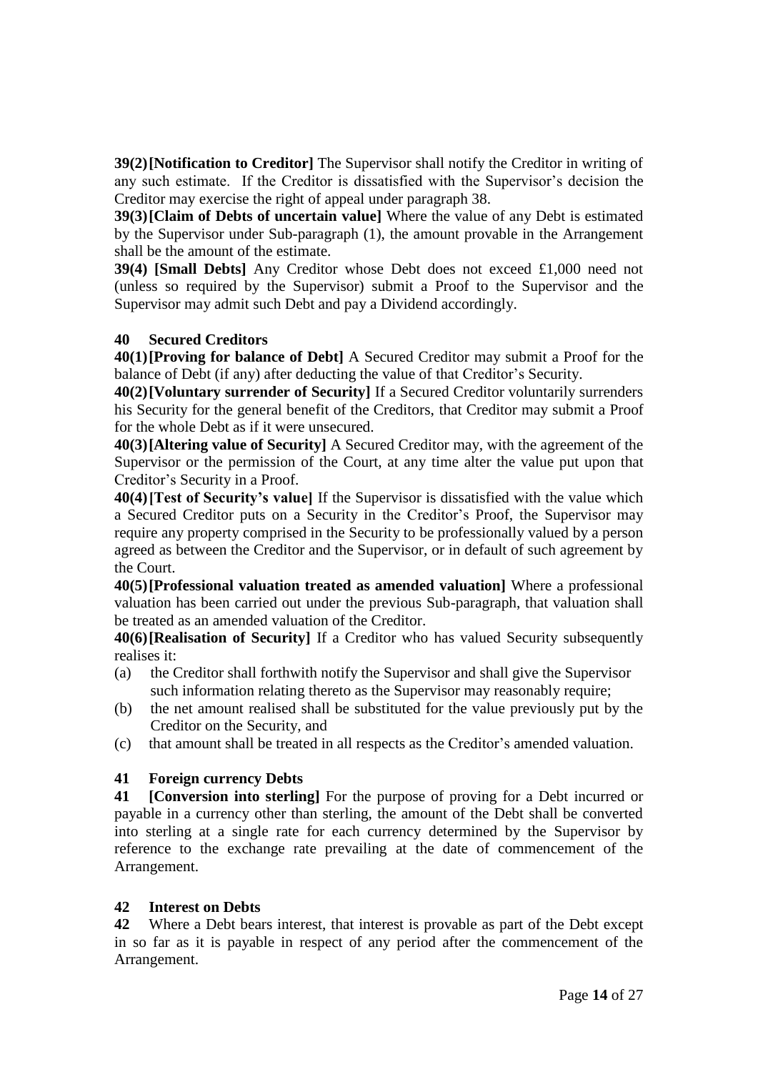**39(2)[Notification to Creditor]** The Supervisor shall notify the Creditor in writing of any such estimate. If the Creditor is dissatisfied with the Supervisor's decision the Creditor may exercise the right of appeal under paragraph 38.

**39(3)[Claim of Debts of uncertain value]** Where the value of any Debt is estimated by the Supervisor under Sub-paragraph (1), the amount provable in the Arrangement shall be the amount of the estimate.

**39(4) [Small Debts]** Any Creditor whose Debt does not exceed £1,000 need not (unless so required by the Supervisor) submit a Proof to the Supervisor and the Supervisor may admit such Debt and pay a Dividend accordingly.

### **40 Secured Creditors**

**40(1)[Proving for balance of Debt]** A Secured Creditor may submit a Proof for the balance of Debt (if any) after deducting the value of that Creditor's Security.

**40(2)[Voluntary surrender of Security]** If a Secured Creditor voluntarily surrenders his Security for the general benefit of the Creditors, that Creditor may submit a Proof for the whole Debt as if it were unsecured.

**40(3)[Altering value of Security]** A Secured Creditor may, with the agreement of the Supervisor or the permission of the Court, at any time alter the value put upon that Creditor's Security in a Proof.

**40(4)[Test of Security's value]** If the Supervisor is dissatisfied with the value which a Secured Creditor puts on a Security in the Creditor's Proof, the Supervisor may require any property comprised in the Security to be professionally valued by a person agreed as between the Creditor and the Supervisor, or in default of such agreement by the Court.

**40(5)[Professional valuation treated as amended valuation]** Where a professional valuation has been carried out under the previous Sub-paragraph, that valuation shall be treated as an amended valuation of the Creditor.

**40(6)[Realisation of Security]** If a Creditor who has valued Security subsequently realises it:

- (a) the Creditor shall forthwith notify the Supervisor and shall give the Supervisor such information relating thereto as the Supervisor may reasonably require;
- (b) the net amount realised shall be substituted for the value previously put by the Creditor on the Security, and
- (c) that amount shall be treated in all respects as the Creditor's amended valuation.

# **41 Foreign currency Debts**

**41 [Conversion into sterling]** For the purpose of proving for a Debt incurred or payable in a currency other than sterling, the amount of the Debt shall be converted into sterling at a single rate for each currency determined by the Supervisor by reference to the exchange rate prevailing at the date of commencement of the Arrangement.

# **42 Interest on Debts**

**42** Where a Debt bears interest, that interest is provable as part of the Debt except in so far as it is payable in respect of any period after the commencement of the Arrangement.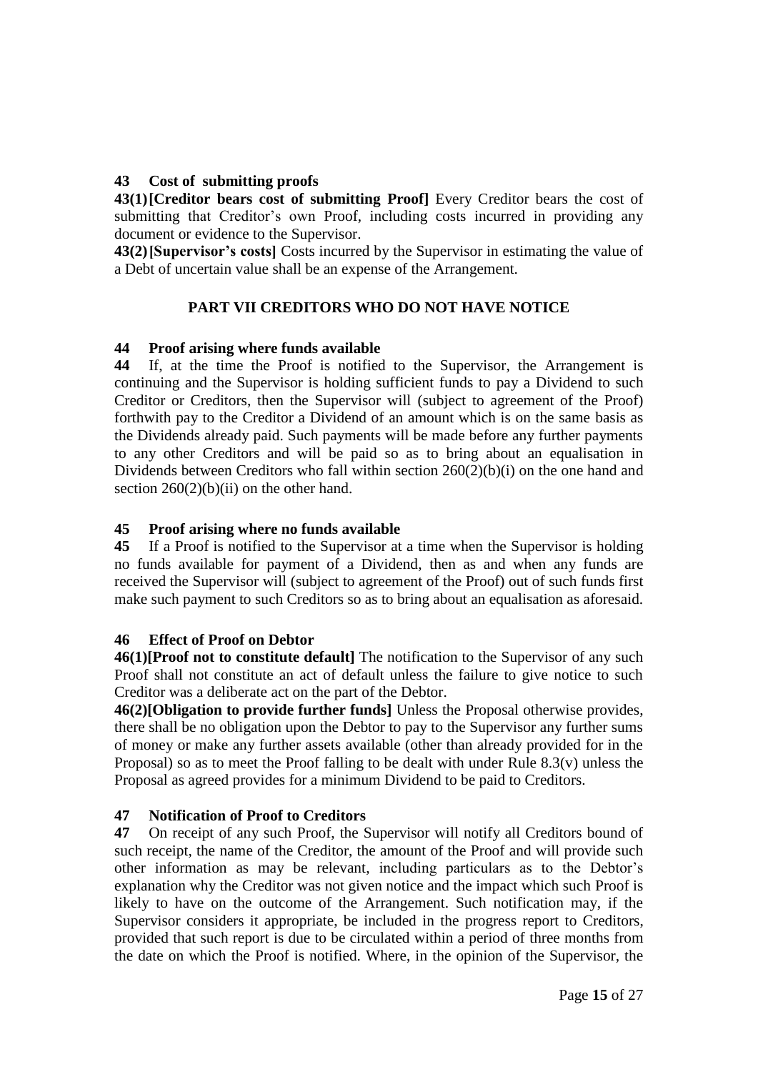# **43 Cost of submitting proofs**

**43(1)[Creditor bears cost of submitting Proof]** Every Creditor bears the cost of submitting that Creditor's own Proof, including costs incurred in providing any document or evidence to the Supervisor.

**43(2)[Supervisor's costs]** Costs incurred by the Supervisor in estimating the value of a Debt of uncertain value shall be an expense of the Arrangement.

# **PART VII CREDITORS WHO DO NOT HAVE NOTICE**

# **44 Proof arising where funds available**

**44** If, at the time the Proof is notified to the Supervisor, the Arrangement is continuing and the Supervisor is holding sufficient funds to pay a Dividend to such Creditor or Creditors, then the Supervisor will (subject to agreement of the Proof) forthwith pay to the Creditor a Dividend of an amount which is on the same basis as the Dividends already paid. Such payments will be made before any further payments to any other Creditors and will be paid so as to bring about an equalisation in Dividends between Creditors who fall within section 260(2)(b)(i) on the one hand and section  $260(2)(b)(ii)$  on the other hand.

# **45 Proof arising where no funds available**

**45** If a Proof is notified to the Supervisor at a time when the Supervisor is holding no funds available for payment of a Dividend, then as and when any funds are received the Supervisor will (subject to agreement of the Proof) out of such funds first make such payment to such Creditors so as to bring about an equalisation as aforesaid.

# **46 Effect of Proof on Debtor**

**46(1)[Proof not to constitute default]** The notification to the Supervisor of any such Proof shall not constitute an act of default unless the failure to give notice to such Creditor was a deliberate act on the part of the Debtor.

**46(2)[Obligation to provide further funds]** Unless the Proposal otherwise provides, there shall be no obligation upon the Debtor to pay to the Supervisor any further sums of money or make any further assets available (other than already provided for in the Proposal) so as to meet the Proof falling to be dealt with under Rule  $8.3(v)$  unless the Proposal as agreed provides for a minimum Dividend to be paid to Creditors.

# **47 Notification of Proof to Creditors**

**47** On receipt of any such Proof, the Supervisor will notify all Creditors bound of such receipt, the name of the Creditor, the amount of the Proof and will provide such other information as may be relevant, including particulars as to the Debtor's explanation why the Creditor was not given notice and the impact which such Proof is likely to have on the outcome of the Arrangement. Such notification may, if the Supervisor considers it appropriate, be included in the progress report to Creditors, provided that such report is due to be circulated within a period of three months from the date on which the Proof is notified. Where, in the opinion of the Supervisor, the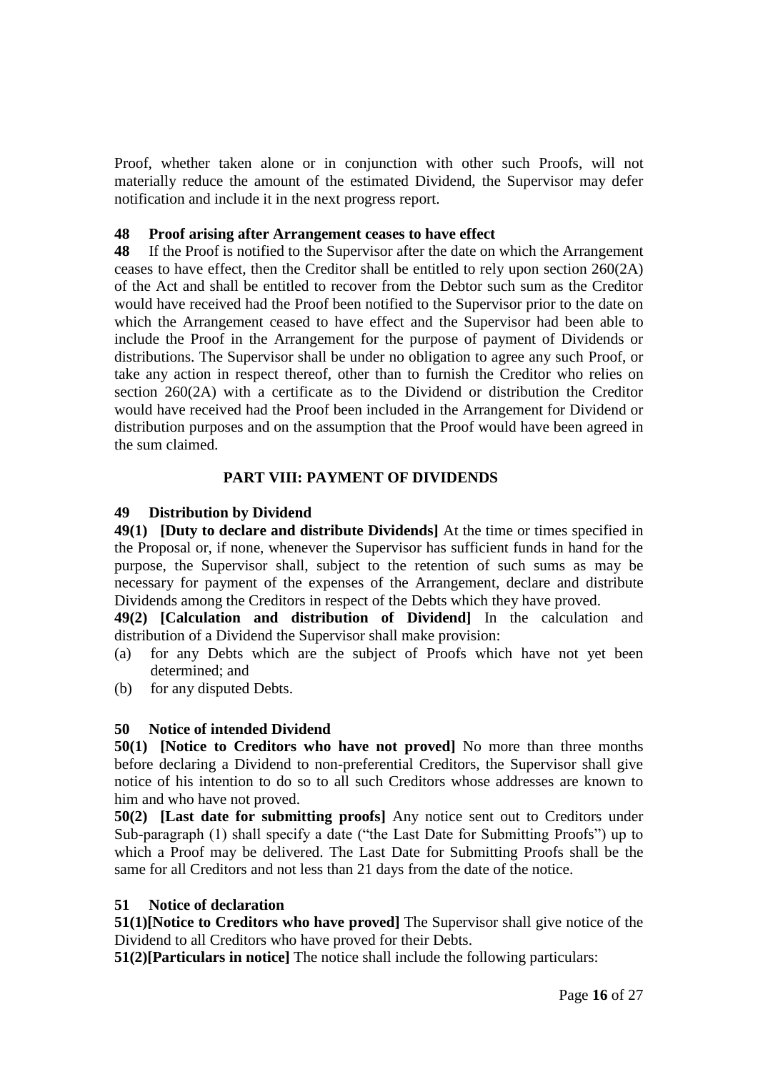Proof, whether taken alone or in conjunction with other such Proofs, will not materially reduce the amount of the estimated Dividend, the Supervisor may defer notification and include it in the next progress report.

## **48 Proof arising after Arrangement ceases to have effect**

**48** If the Proof is notified to the Supervisor after the date on which the Arrangement ceases to have effect, then the Creditor shall be entitled to rely upon section 260(2A) of the Act and shall be entitled to recover from the Debtor such sum as the Creditor would have received had the Proof been notified to the Supervisor prior to the date on which the Arrangement ceased to have effect and the Supervisor had been able to include the Proof in the Arrangement for the purpose of payment of Dividends or distributions. The Supervisor shall be under no obligation to agree any such Proof, or take any action in respect thereof, other than to furnish the Creditor who relies on section 260(2A) with a certificate as to the Dividend or distribution the Creditor would have received had the Proof been included in the Arrangement for Dividend or distribution purposes and on the assumption that the Proof would have been agreed in the sum claimed.

### **PART VIII: PAYMENT OF DIVIDENDS**

### **49 Distribution by Dividend**

**49(1) [Duty to declare and distribute Dividends]** At the time or times specified in the Proposal or, if none, whenever the Supervisor has sufficient funds in hand for the purpose, the Supervisor shall, subject to the retention of such sums as may be necessary for payment of the expenses of the Arrangement, declare and distribute Dividends among the Creditors in respect of the Debts which they have proved.

**49(2) [Calculation and distribution of Dividend]** In the calculation and distribution of a Dividend the Supervisor shall make provision:

- (a) for any Debts which are the subject of Proofs which have not yet been determined; and
- (b) for any disputed Debts.

# **50 Notice of intended Dividend**

**50(1) [Notice to Creditors who have not proved]** No more than three months before declaring a Dividend to non-preferential Creditors, the Supervisor shall give notice of his intention to do so to all such Creditors whose addresses are known to him and who have not proved.

**50(2) [Last date for submitting proofs]** Any notice sent out to Creditors under Sub-paragraph (1) shall specify a date ("the Last Date for Submitting Proofs") up to which a Proof may be delivered. The Last Date for Submitting Proofs shall be the same for all Creditors and not less than 21 days from the date of the notice.

### **51 Notice of declaration**

**51(1)[Notice to Creditors who have proved]** The Supervisor shall give notice of the Dividend to all Creditors who have proved for their Debts.

**51(2)[Particulars in notice]** The notice shall include the following particulars: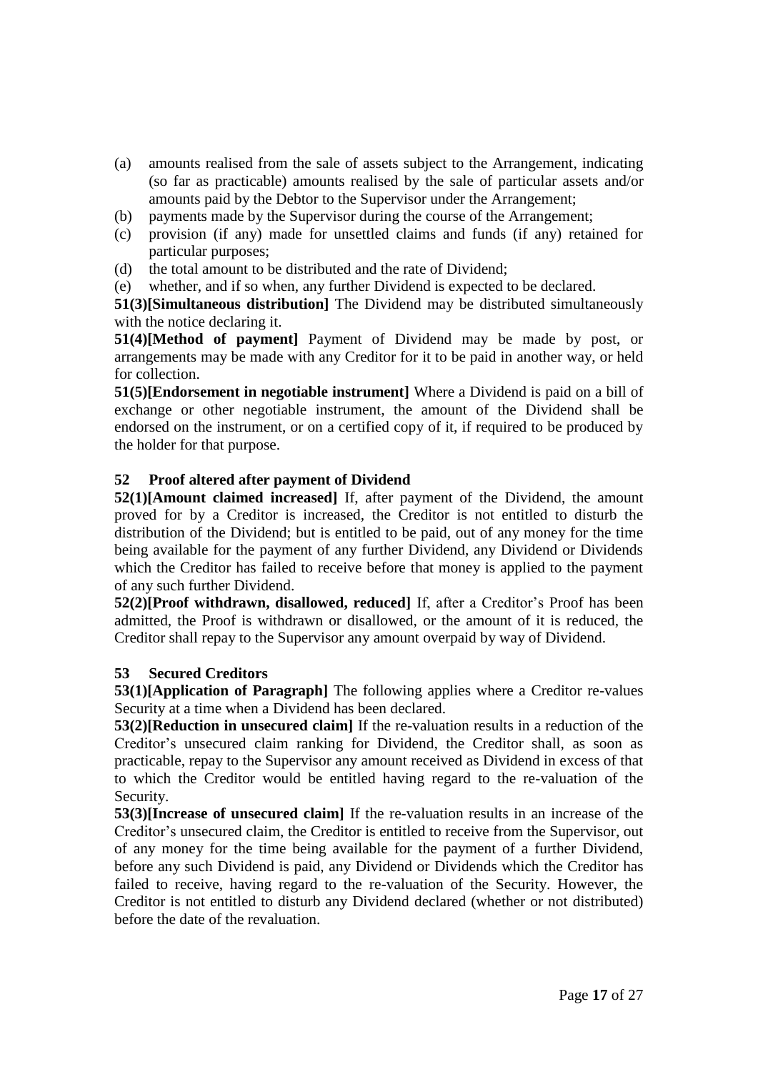- (a) amounts realised from the sale of assets subject to the Arrangement, indicating (so far as practicable) amounts realised by the sale of particular assets and/or amounts paid by the Debtor to the Supervisor under the Arrangement;
- (b) payments made by the Supervisor during the course of the Arrangement;
- (c) provision (if any) made for unsettled claims and funds (if any) retained for particular purposes;
- (d) the total amount to be distributed and the rate of Dividend;
- (e) whether, and if so when, any further Dividend is expected to be declared.

**51(3)[Simultaneous distribution]** The Dividend may be distributed simultaneously with the notice declaring it.

**51(4)[Method of payment]** Payment of Dividend may be made by post, or arrangements may be made with any Creditor for it to be paid in another way, or held for collection.

**51(5)[Endorsement in negotiable instrument]** Where a Dividend is paid on a bill of exchange or other negotiable instrument, the amount of the Dividend shall be endorsed on the instrument, or on a certified copy of it, if required to be produced by the holder for that purpose.

# **52 Proof altered after payment of Dividend**

**52(1)[Amount claimed increased]** If, after payment of the Dividend, the amount proved for by a Creditor is increased, the Creditor is not entitled to disturb the distribution of the Dividend; but is entitled to be paid, out of any money for the time being available for the payment of any further Dividend, any Dividend or Dividends which the Creditor has failed to receive before that money is applied to the payment of any such further Dividend.

**52(2)[Proof withdrawn, disallowed, reduced]** If, after a Creditor's Proof has been admitted, the Proof is withdrawn or disallowed, or the amount of it is reduced, the Creditor shall repay to the Supervisor any amount overpaid by way of Dividend.

# **53 Secured Creditors**

**53(1)[Application of Paragraph]** The following applies where a Creditor re-values Security at a time when a Dividend has been declared.

**53(2)[Reduction in unsecured claim]** If the re-valuation results in a reduction of the Creditor's unsecured claim ranking for Dividend, the Creditor shall, as soon as practicable, repay to the Supervisor any amount received as Dividend in excess of that to which the Creditor would be entitled having regard to the re-valuation of the Security.

**53(3)[Increase of unsecured claim]** If the re-valuation results in an increase of the Creditor's unsecured claim, the Creditor is entitled to receive from the Supervisor, out of any money for the time being available for the payment of a further Dividend, before any such Dividend is paid, any Dividend or Dividends which the Creditor has failed to receive, having regard to the re-valuation of the Security. However, the Creditor is not entitled to disturb any Dividend declared (whether or not distributed) before the date of the revaluation.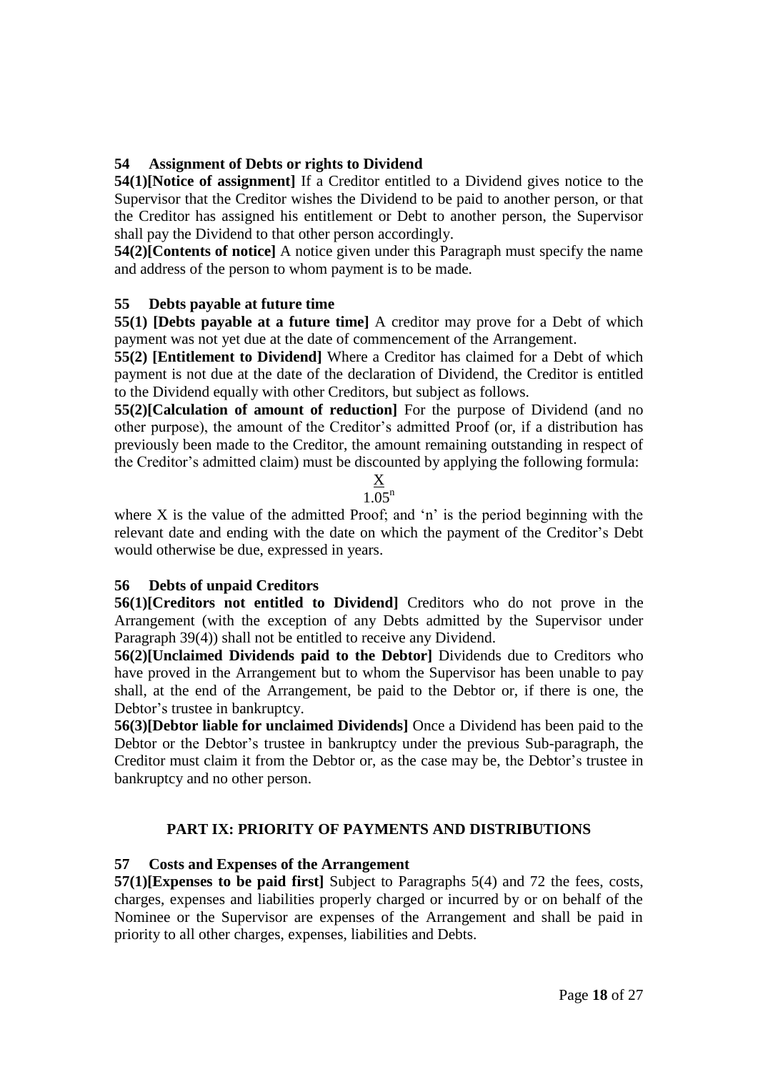# **54 Assignment of Debts or rights to Dividend**

**54(1)[Notice of assignment]** If a Creditor entitled to a Dividend gives notice to the Supervisor that the Creditor wishes the Dividend to be paid to another person, or that the Creditor has assigned his entitlement or Debt to another person, the Supervisor shall pay the Dividend to that other person accordingly.

**54(2)[Contents of notice]** A notice given under this Paragraph must specify the name and address of the person to whom payment is to be made.

# **55 Debts payable at future time**

**55(1) [Debts payable at a future time]** A creditor may prove for a Debt of which payment was not yet due at the date of commencement of the Arrangement.

**55(2) [Entitlement to Dividend]** Where a Creditor has claimed for a Debt of which payment is not due at the date of the declaration of Dividend, the Creditor is entitled to the Dividend equally with other Creditors, but subject as follows.

**55(2)[Calculation of amount of reduction]** For the purpose of Dividend (and no other purpose), the amount of the Creditor's admitted Proof (or, if a distribution has previously been made to the Creditor, the amount remaining outstanding in respect of the Creditor's admitted claim) must be discounted by applying the following formula:

#### X  $1.05^{n}$

where X is the value of the admitted Proof; and 'n' is the period beginning with the relevant date and ending with the date on which the payment of the Creditor's Debt would otherwise be due, expressed in years.

# **56 Debts of unpaid Creditors**

**56(1)[Creditors not entitled to Dividend]** Creditors who do not prove in the Arrangement (with the exception of any Debts admitted by the Supervisor under Paragraph 39(4)) shall not be entitled to receive any Dividend.

**56(2)[Unclaimed Dividends paid to the Debtor]** Dividends due to Creditors who have proved in the Arrangement but to whom the Supervisor has been unable to pay shall, at the end of the Arrangement, be paid to the Debtor or, if there is one, the Debtor's trustee in bankruptcy.

**56(3)[Debtor liable for unclaimed Dividends]** Once a Dividend has been paid to the Debtor or the Debtor's trustee in bankruptcy under the previous Sub-paragraph, the Creditor must claim it from the Debtor or, as the case may be, the Debtor's trustee in bankruptcy and no other person.

# **PART IX: PRIORITY OF PAYMENTS AND DISTRIBUTIONS**

# **57 Costs and Expenses of the Arrangement**

**57(1)[Expenses to be paid first]** Subject to Paragraphs 5(4) and 72 the fees, costs, charges, expenses and liabilities properly charged or incurred by or on behalf of the Nominee or the Supervisor are expenses of the Arrangement and shall be paid in priority to all other charges, expenses, liabilities and Debts.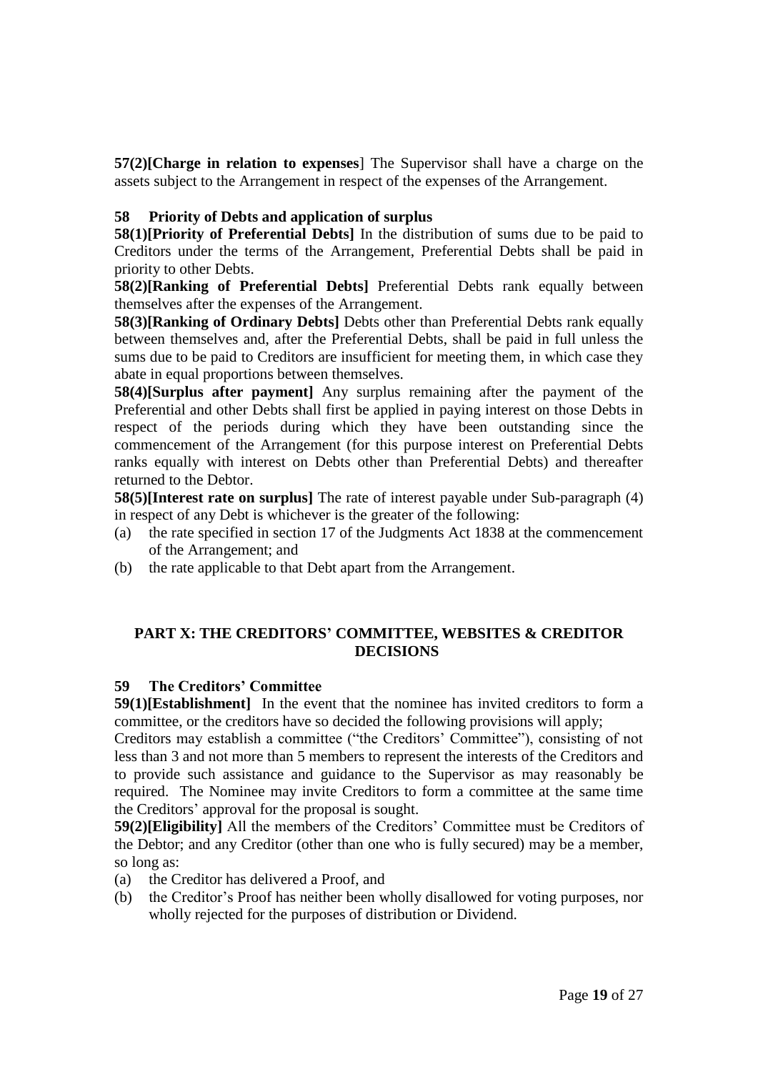**57(2)[Charge in relation to expenses**] The Supervisor shall have a charge on the assets subject to the Arrangement in respect of the expenses of the Arrangement.

### **58 Priority of Debts and application of surplus**

**58(1)[Priority of Preferential Debts]** In the distribution of sums due to be paid to Creditors under the terms of the Arrangement, Preferential Debts shall be paid in priority to other Debts.

**58(2)[Ranking of Preferential Debts]** Preferential Debts rank equally between themselves after the expenses of the Arrangement.

**58(3)[Ranking of Ordinary Debts]** Debts other than Preferential Debts rank equally between themselves and, after the Preferential Debts, shall be paid in full unless the sums due to be paid to Creditors are insufficient for meeting them, in which case they abate in equal proportions between themselves.

**58(4)[Surplus after payment]** Any surplus remaining after the payment of the Preferential and other Debts shall first be applied in paying interest on those Debts in respect of the periods during which they have been outstanding since the commencement of the Arrangement (for this purpose interest on Preferential Debts ranks equally with interest on Debts other than Preferential Debts) and thereafter returned to the Debtor.

**58(5)**[Interest rate on surplus] The rate of interest payable under Sub-paragraph (4) in respect of any Debt is whichever is the greater of the following:

- (a) the rate specified in section 17 of the Judgments Act 1838 at the commencement of the Arrangement; and
- (b) the rate applicable to that Debt apart from the Arrangement.

# **PART X: THE CREDITORS' COMMITTEE, WEBSITES & CREDITOR DECISIONS**

### **59 The Creditors' Committee**

**59(1)[Establishment]** In the event that the nominee has invited creditors to form a committee, or the creditors have so decided the following provisions will apply;

Creditors may establish a committee ("the Creditors' Committee"), consisting of not less than 3 and not more than 5 members to represent the interests of the Creditors and to provide such assistance and guidance to the Supervisor as may reasonably be required. The Nominee may invite Creditors to form a committee at the same time the Creditors' approval for the proposal is sought.

**59(2)[Eligibility]** All the members of the Creditors' Committee must be Creditors of the Debtor; and any Creditor (other than one who is fully secured) may be a member, so long as:

- (a) the Creditor has delivered a Proof, and
- (b) the Creditor's Proof has neither been wholly disallowed for voting purposes, nor wholly rejected for the purposes of distribution or Dividend.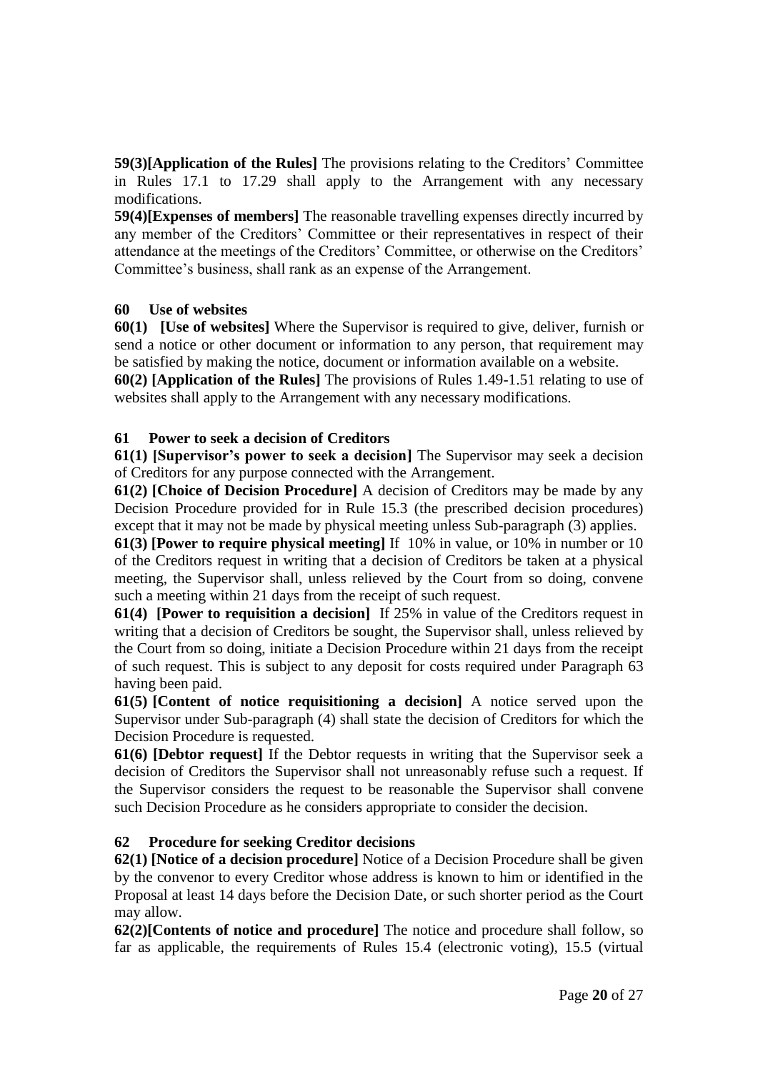**59(3)[Application of the Rules]** The provisions relating to the Creditors' Committee in Rules 17.1 to 17.29 shall apply to the Arrangement with any necessary modifications.

**59(4)[Expenses of members]** The reasonable travelling expenses directly incurred by any member of the Creditors' Committee or their representatives in respect of their attendance at the meetings of the Creditors' Committee, or otherwise on the Creditors' Committee's business, shall rank as an expense of the Arrangement.

# **60 Use of websites**

**60(1) [Use of websites]** Where the Supervisor is required to give, deliver, furnish or send a notice or other document or information to any person, that requirement may be satisfied by making the notice, document or information available on a website. **60(2) [Application of the Rules]** The provisions of Rules 1.49-1.51 relating to use of websites shall apply to the Arrangement with any necessary modifications.

### **61 Power to seek a decision of Creditors**

**61(1) [Supervisor's power to seek a decision]** The Supervisor may seek a decision of Creditors for any purpose connected with the Arrangement.

**61(2) [Choice of Decision Procedure]** A decision of Creditors may be made by any Decision Procedure provided for in Rule 15.3 (the prescribed decision procedures) except that it may not be made by physical meeting unless Sub-paragraph (3) applies.

**61(3) [Power to require physical meeting]** If 10% in value, or 10% in number or 10 of the Creditors request in writing that a decision of Creditors be taken at a physical meeting, the Supervisor shall, unless relieved by the Court from so doing, convene such a meeting within 21 days from the receipt of such request.

**61(4) [Power to requisition a decision]** If 25% in value of the Creditors request in writing that a decision of Creditors be sought, the Supervisor shall, unless relieved by the Court from so doing, initiate a Decision Procedure within 21 days from the receipt of such request. This is subject to any deposit for costs required under Paragraph 63 having been paid.

**61(5) [Content of notice requisitioning a decision]** A notice served upon the Supervisor under Sub-paragraph (4) shall state the decision of Creditors for which the Decision Procedure is requested.

**61(6) [Debtor request]** If the Debtor requests in writing that the Supervisor seek a decision of Creditors the Supervisor shall not unreasonably refuse such a request. If the Supervisor considers the request to be reasonable the Supervisor shall convene such Decision Procedure as he considers appropriate to consider the decision.

### **62 Procedure for seeking Creditor decisions**

**62(1) [Notice of a decision procedure]** Notice of a Decision Procedure shall be given by the convenor to every Creditor whose address is known to him or identified in the Proposal at least 14 days before the Decision Date, or such shorter period as the Court may allow.

**62(2)[Contents of notice and procedure]** The notice and procedure shall follow, so far as applicable, the requirements of Rules 15.4 (electronic voting), 15.5 (virtual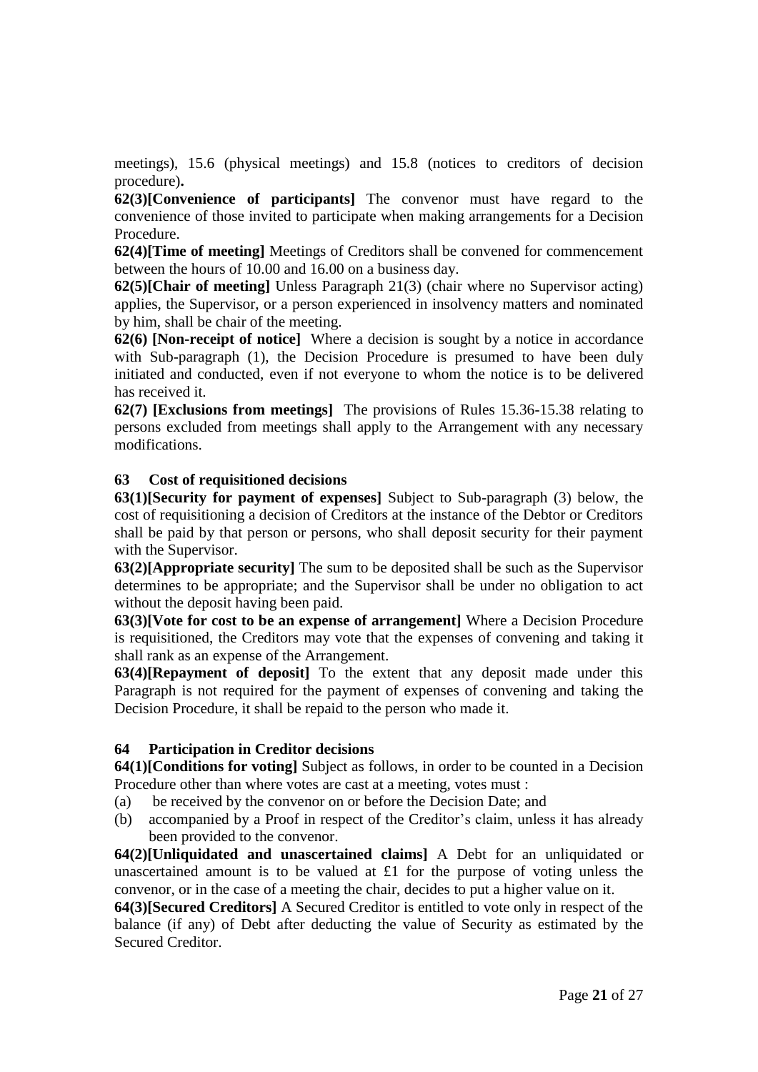meetings), 15.6 (physical meetings) and 15.8 (notices to creditors of decision procedure)**.**

**62(3)[Convenience of participants]** The convenor must have regard to the convenience of those invited to participate when making arrangements for a Decision Procedure.

**62(4)[Time of meeting]** Meetings of Creditors shall be convened for commencement between the hours of 10.00 and 16.00 on a business day.

**62(5)[Chair of meeting]** Unless Paragraph 21(3) (chair where no Supervisor acting) applies, the Supervisor, or a person experienced in insolvency matters and nominated by him, shall be chair of the meeting.

**62(6) [Non-receipt of notice]** Where a decision is sought by a notice in accordance with Sub-paragraph (1), the Decision Procedure is presumed to have been duly initiated and conducted, even if not everyone to whom the notice is to be delivered has received it.

**62(7) [Exclusions from meetings]** The provisions of Rules 15.36-15.38 relating to persons excluded from meetings shall apply to the Arrangement with any necessary modifications.

### **63 Cost of requisitioned decisions**

**63(1)[Security for payment of expenses]** Subject to Sub-paragraph (3) below, the cost of requisitioning a decision of Creditors at the instance of the Debtor or Creditors shall be paid by that person or persons, who shall deposit security for their payment with the Supervisor.

**63(2)[Appropriate security]** The sum to be deposited shall be such as the Supervisor determines to be appropriate; and the Supervisor shall be under no obligation to act without the deposit having been paid.

**63(3)[Vote for cost to be an expense of arrangement]** Where a Decision Procedure is requisitioned, the Creditors may vote that the expenses of convening and taking it shall rank as an expense of the Arrangement.

**63(4)[Repayment of deposit]** To the extent that any deposit made under this Paragraph is not required for the payment of expenses of convening and taking the Decision Procedure, it shall be repaid to the person who made it.

#### **64 Participation in Creditor decisions**

**64(1)[Conditions for voting]** Subject as follows, in order to be counted in a Decision Procedure other than where votes are cast at a meeting, votes must :

- (a) be received by the convenor on or before the Decision Date; and
- (b) accompanied by a Proof in respect of the Creditor's claim, unless it has already been provided to the convenor.

**64(2)[Unliquidated and unascertained claims]** A Debt for an unliquidated or unascertained amount is to be valued at £1 for the purpose of voting unless the convenor, or in the case of a meeting the chair, decides to put a higher value on it.

**64(3)[Secured Creditors]** A Secured Creditor is entitled to vote only in respect of the balance (if any) of Debt after deducting the value of Security as estimated by the Secured Creditor.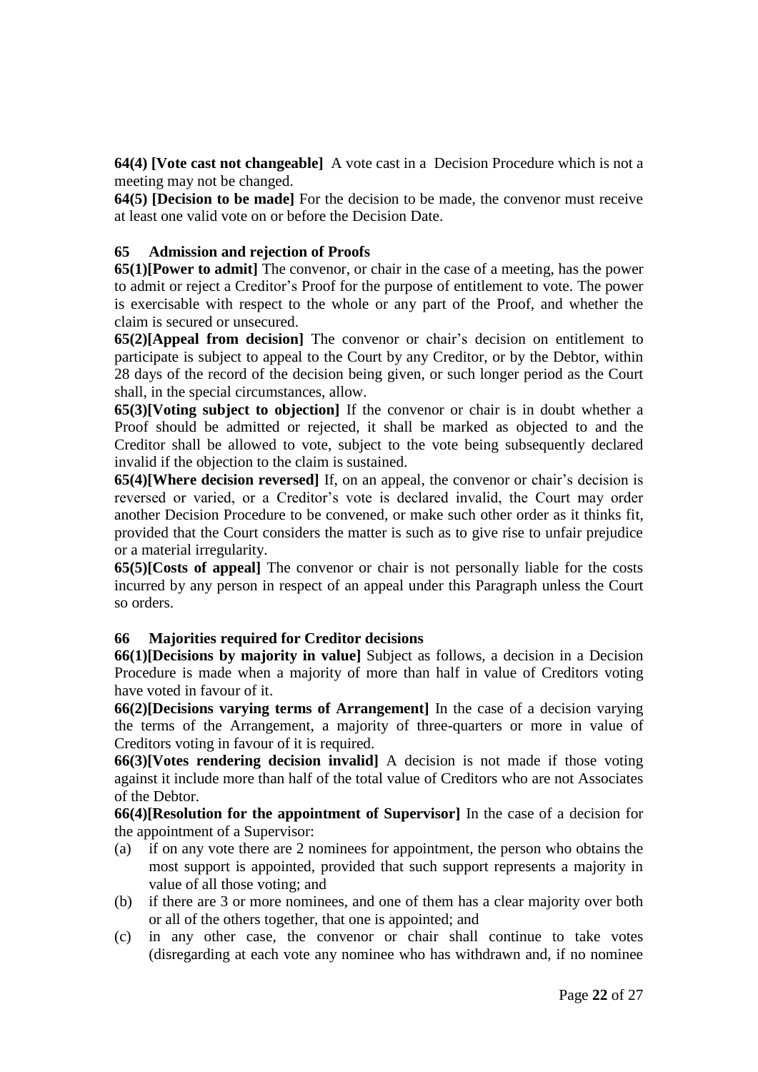**64(4) [Vote cast not changeable]** A vote cast in a Decision Procedure which is not a meeting may not be changed.

**64(5) [Decision to be made]** For the decision to be made, the convenor must receive at least one valid vote on or before the Decision Date.

### **65 Admission and rejection of Proofs**

**65(1)[Power to admit]** The convenor, or chair in the case of a meeting, has the power to admit or reject a Creditor's Proof for the purpose of entitlement to vote. The power is exercisable with respect to the whole or any part of the Proof, and whether the claim is secured or unsecured.

**65(2)[Appeal from decision]** The convenor or chair's decision on entitlement to participate is subject to appeal to the Court by any Creditor, or by the Debtor, within 28 days of the record of the decision being given, or such longer period as the Court shall, in the special circumstances, allow.

**65(3)[Voting subject to objection]** If the convenor or chair is in doubt whether a Proof should be admitted or rejected, it shall be marked as objected to and the Creditor shall be allowed to vote, subject to the vote being subsequently declared invalid if the objection to the claim is sustained.

**65(4)[Where decision reversed]** If, on an appeal, the convenor or chair's decision is reversed or varied, or a Creditor's vote is declared invalid, the Court may order another Decision Procedure to be convened, or make such other order as it thinks fit, provided that the Court considers the matter is such as to give rise to unfair prejudice or a material irregularity.

**65(5)[Costs of appeal]** The convenor or chair is not personally liable for the costs incurred by any person in respect of an appeal under this Paragraph unless the Court so orders.

### **66 Majorities required for Creditor decisions**

**66(1)[Decisions by majority in value]** Subject as follows, a decision in a Decision Procedure is made when a majority of more than half in value of Creditors voting have voted in favour of it.

**66(2)[Decisions varying terms of Arrangement]** In the case of a decision varying the terms of the Arrangement, a majority of three-quarters or more in value of Creditors voting in favour of it is required.

**66(3)[Votes rendering decision invalid]** A decision is not made if those voting against it include more than half of the total value of Creditors who are not Associates of the Debtor.

**66(4)[Resolution for the appointment of Supervisor]** In the case of a decision for the appointment of a Supervisor:

- (a) if on any vote there are 2 nominees for appointment, the person who obtains the most support is appointed, provided that such support represents a majority in value of all those voting; and
- (b) if there are 3 or more nominees, and one of them has a clear majority over both or all of the others together, that one is appointed; and
- (c) in any other case, the convenor or chair shall continue to take votes (disregarding at each vote any nominee who has withdrawn and, if no nominee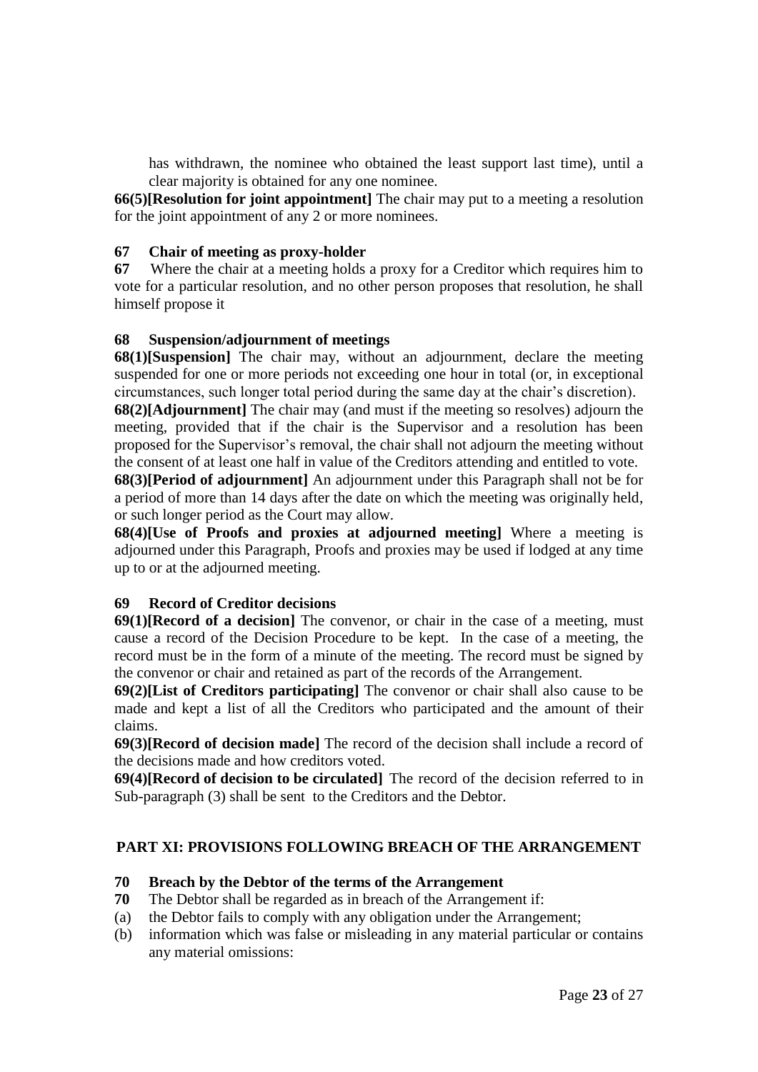has withdrawn, the nominee who obtained the least support last time), until a clear majority is obtained for any one nominee.

**66(5)[Resolution for joint appointment]** The chair may put to a meeting a resolution for the joint appointment of any 2 or more nominees.

### **67 Chair of meeting as proxy-holder**

**67** Where the chair at a meeting holds a proxy for a Creditor which requires him to vote for a particular resolution, and no other person proposes that resolution, he shall himself propose it

#### **68 Suspension/adjournment of meetings**

**68(1)**[Suspension] The chair may, without an adjournment, declare the meeting suspended for one or more periods not exceeding one hour in total (or, in exceptional circumstances, such longer total period during the same day at the chair's discretion).

**68(2)[Adjournment]** The chair may (and must if the meeting so resolves) adjourn the meeting, provided that if the chair is the Supervisor and a resolution has been proposed for the Supervisor's removal, the chair shall not adjourn the meeting without the consent of at least one half in value of the Creditors attending and entitled to vote.

**68(3)[Period of adjournment]** An adjournment under this Paragraph shall not be for a period of more than 14 days after the date on which the meeting was originally held, or such longer period as the Court may allow.

**68(4)[Use of Proofs and proxies at adjourned meeting]** Where a meeting is adjourned under this Paragraph, Proofs and proxies may be used if lodged at any time up to or at the adjourned meeting.

### **69 Record of Creditor decisions**

**69(1)[Record of a decision]** The convenor, or chair in the case of a meeting, must cause a record of the Decision Procedure to be kept. In the case of a meeting, the record must be in the form of a minute of the meeting. The record must be signed by the convenor or chair and retained as part of the records of the Arrangement.

**69(2)[List of Creditors participating]** The convenor or chair shall also cause to be made and kept a list of all the Creditors who participated and the amount of their claims.

**69(3)[Record of decision made]** The record of the decision shall include a record of the decisions made and how creditors voted.

**69(4)[Record of decision to be circulated]** The record of the decision referred to in Sub-paragraph (3) shall be sent to the Creditors and the Debtor.

### **PART XI: PROVISIONS FOLLOWING BREACH OF THE ARRANGEMENT**

#### **70 Breach by the Debtor of the terms of the Arrangement**

- **70** The Debtor shall be regarded as in breach of the Arrangement if:
- (a) the Debtor fails to comply with any obligation under the Arrangement;
- (b) information which was false or misleading in any material particular or contains any material omissions: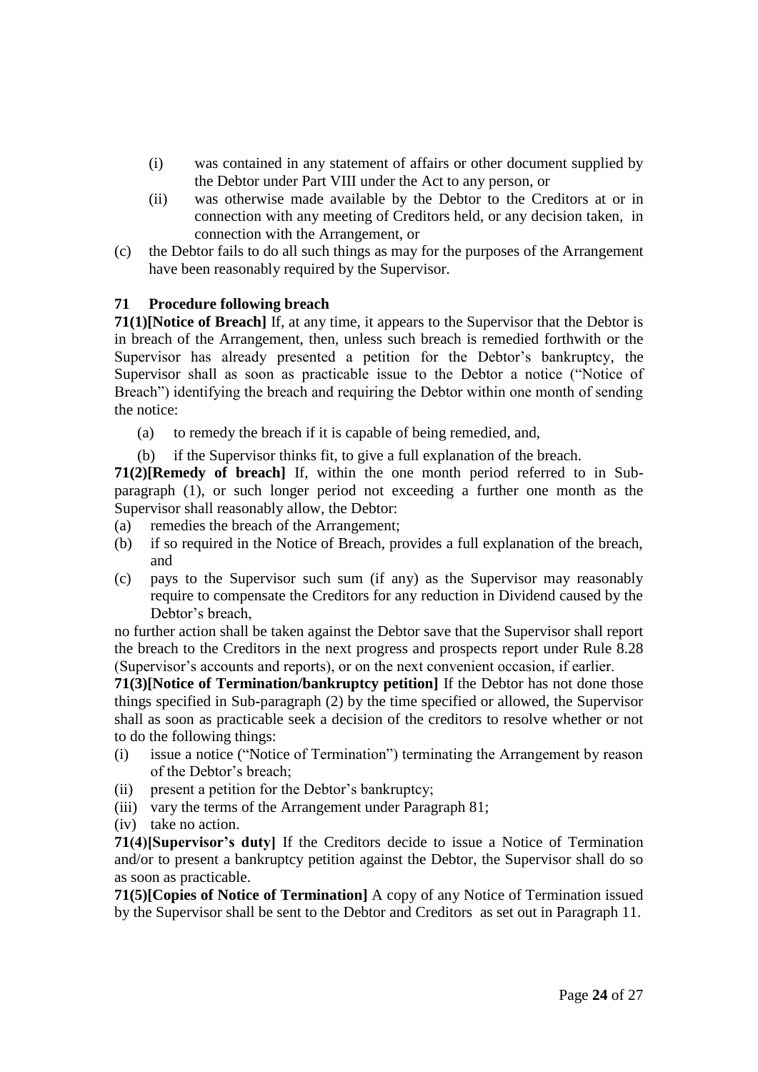- (i) was contained in any statement of affairs or other document supplied by the Debtor under Part VIII under the Act to any person, or
- (ii) was otherwise made available by the Debtor to the Creditors at or in connection with any meeting of Creditors held, or any decision taken, in connection with the Arrangement, or
- (c) the Debtor fails to do all such things as may for the purposes of the Arrangement have been reasonably required by the Supervisor.

# **71 Procedure following breach**

**71(1)[Notice of Breach]** If, at any time, it appears to the Supervisor that the Debtor is in breach of the Arrangement, then, unless such breach is remedied forthwith or the Supervisor has already presented a petition for the Debtor's bankruptcy, the Supervisor shall as soon as practicable issue to the Debtor a notice ("Notice of Breach") identifying the breach and requiring the Debtor within one month of sending the notice:

- (a) to remedy the breach if it is capable of being remedied, and,
- (b) if the Supervisor thinks fit, to give a full explanation of the breach.

**71(2)[Remedy of breach]** If, within the one month period referred to in Subparagraph (1), or such longer period not exceeding a further one month as the Supervisor shall reasonably allow, the Debtor:

- (a) remedies the breach of the Arrangement;
- (b) if so required in the Notice of Breach, provides a full explanation of the breach, and
- (c) pays to the Supervisor such sum (if any) as the Supervisor may reasonably require to compensate the Creditors for any reduction in Dividend caused by the Debtor's breach,

no further action shall be taken against the Debtor save that the Supervisor shall report the breach to the Creditors in the next progress and prospects report under Rule 8.28 (Supervisor's accounts and reports), or on the next convenient occasion, if earlier.

**71(3)[Notice of Termination/bankruptcy petition]** If the Debtor has not done those things specified in Sub-paragraph (2) by the time specified or allowed, the Supervisor shall as soon as practicable seek a decision of the creditors to resolve whether or not to do the following things:

- (i) issue a notice ("Notice of Termination") terminating the Arrangement by reason of the Debtor's breach;
- (ii) present a petition for the Debtor's bankruptcy;
- (iii) vary the terms of the Arrangement under Paragraph 81;
- (iv) take no action.

**71(4)[Supervisor's duty]** If the Creditors decide to issue a Notice of Termination and/or to present a bankruptcy petition against the Debtor, the Supervisor shall do so as soon as practicable.

**71(5)[Copies of Notice of Termination]** A copy of any Notice of Termination issued by the Supervisor shall be sent to the Debtor and Creditors as set out in Paragraph 11.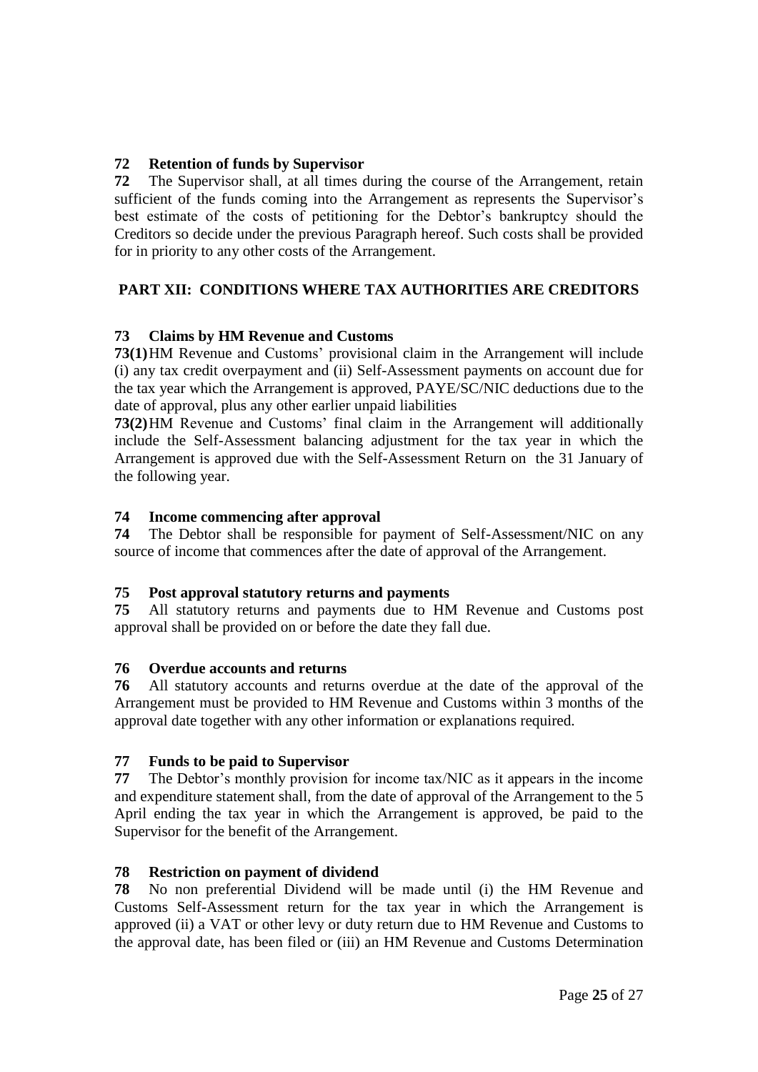# **72 Retention of funds by Supervisor**

**72** The Supervisor shall, at all times during the course of the Arrangement, retain sufficient of the funds coming into the Arrangement as represents the Supervisor's best estimate of the costs of petitioning for the Debtor's bankruptcy should the Creditors so decide under the previous Paragraph hereof. Such costs shall be provided for in priority to any other costs of the Arrangement.

# **PART XII: CONDITIONS WHERE TAX AUTHORITIES ARE CREDITORS**

# **73 Claims by HM Revenue and Customs**

**73(1)**HM Revenue and Customs' provisional claim in the Arrangement will include (i) any tax credit overpayment and (ii) Self-Assessment payments on account due for the tax year which the Arrangement is approved, PAYE/SC/NIC deductions due to the date of approval, plus any other earlier unpaid liabilities

**73(2)**HM Revenue and Customs' final claim in the Arrangement will additionally include the Self-Assessment balancing adjustment for the tax year in which the Arrangement is approved due with the Self-Assessment Return on the 31 January of the following year.

# **74 Income commencing after approval**

**74** The Debtor shall be responsible for payment of Self-Assessment/NIC on any source of income that commences after the date of approval of the Arrangement.

# **75 Post approval statutory returns and payments**

**75** All statutory returns and payments due to HM Revenue and Customs post approval shall be provided on or before the date they fall due.

# **76 Overdue accounts and returns**

**76** All statutory accounts and returns overdue at the date of the approval of the Arrangement must be provided to HM Revenue and Customs within 3 months of the approval date together with any other information or explanations required.

# **77 Funds to be paid to Supervisor**

**77** The Debtor's monthly provision for income tax/NIC as it appears in the income and expenditure statement shall, from the date of approval of the Arrangement to the 5 April ending the tax year in which the Arrangement is approved, be paid to the Supervisor for the benefit of the Arrangement.

# **78 Restriction on payment of dividend**

**78** No non preferential Dividend will be made until (i) the HM Revenue and Customs Self-Assessment return for the tax year in which the Arrangement is approved (ii) a VAT or other levy or duty return due to HM Revenue and Customs to the approval date, has been filed or (iii) an HM Revenue and Customs Determination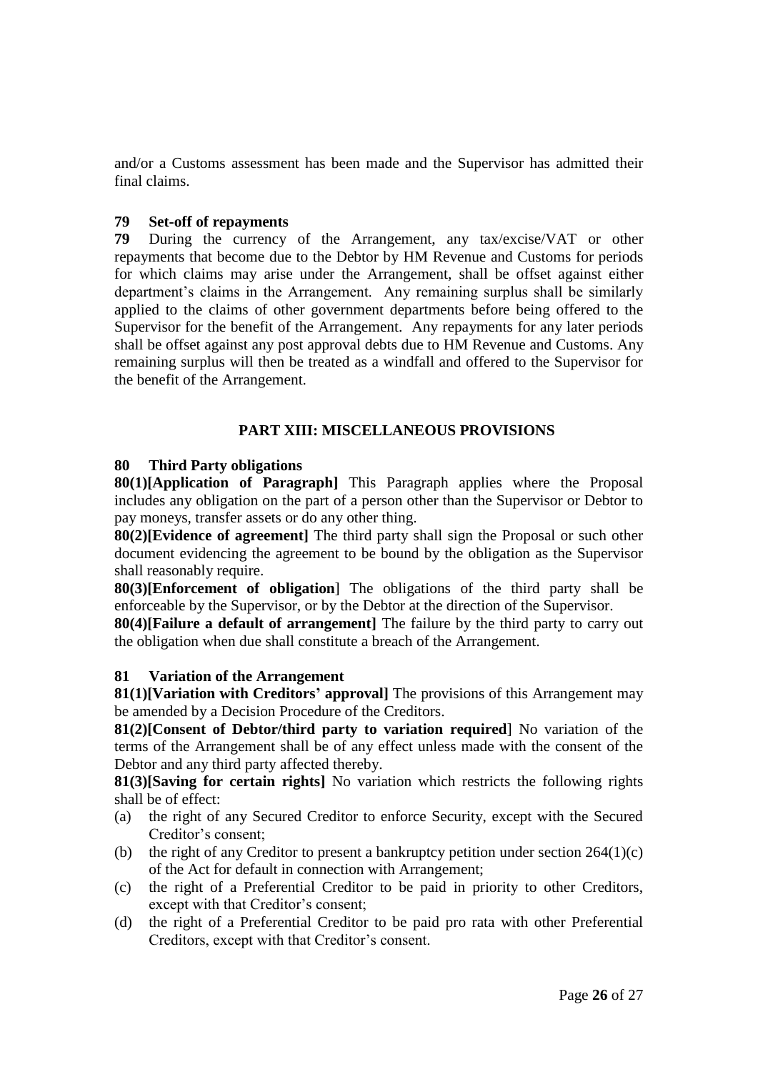and/or a Customs assessment has been made and the Supervisor has admitted their final claims.

### **79 Set-off of repayments**

**79** During the currency of the Arrangement, any tax/excise/VAT or other repayments that become due to the Debtor by HM Revenue and Customs for periods for which claims may arise under the Arrangement, shall be offset against either department's claims in the Arrangement. Any remaining surplus shall be similarly applied to the claims of other government departments before being offered to the Supervisor for the benefit of the Arrangement. Any repayments for any later periods shall be offset against any post approval debts due to HM Revenue and Customs. Any remaining surplus will then be treated as a windfall and offered to the Supervisor for the benefit of the Arrangement.

# **PART XIII: MISCELLANEOUS PROVISIONS**

### **80 Third Party obligations**

**80(1)[Application of Paragraph]** This Paragraph applies where the Proposal includes any obligation on the part of a person other than the Supervisor or Debtor to pay moneys, transfer assets or do any other thing.

**80(2)[Evidence of agreement]** The third party shall sign the Proposal or such other document evidencing the agreement to be bound by the obligation as the Supervisor shall reasonably require.

**80(3)[Enforcement of obligation**] The obligations of the third party shall be enforceable by the Supervisor, or by the Debtor at the direction of the Supervisor.

**80(4)[Failure a default of arrangement]** The failure by the third party to carry out the obligation when due shall constitute a breach of the Arrangement.

### **81 Variation of the Arrangement**

**81(1)[Variation with Creditors' approval]** The provisions of this Arrangement may be amended by a Decision Procedure of the Creditors.

**81(2)[Consent of Debtor/third party to variation required**] No variation of the terms of the Arrangement shall be of any effect unless made with the consent of the Debtor and any third party affected thereby.

**81(3)[Saving for certain rights]** No variation which restricts the following rights shall be of effect:

- (a) the right of any Secured Creditor to enforce Security, except with the Secured Creditor's consent;
- (b) the right of any Creditor to present a bankruptcy petition under section  $264(1)(c)$ of the Act for default in connection with Arrangement;
- (c) the right of a Preferential Creditor to be paid in priority to other Creditors, except with that Creditor's consent;
- (d) the right of a Preferential Creditor to be paid pro rata with other Preferential Creditors, except with that Creditor's consent.